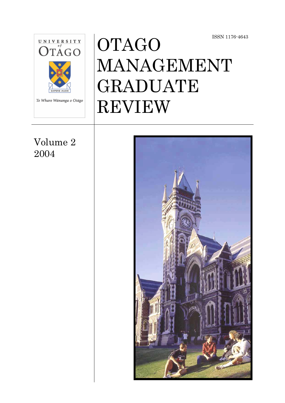



## Volume 2 2004

# **OTAGO** MANAGEMENT GRADUATE REVIEW

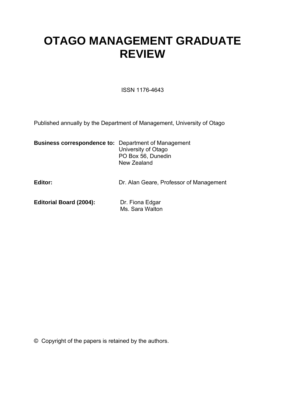# **OTAGO MANAGEMENT GRADUATE REVIEW**

ISSN 1176-4643

Published annually by the Department of Management, University of Otago

| <b>Business correspondence to: Department of Management</b> |                     |  |
|-------------------------------------------------------------|---------------------|--|
|                                                             | University of Otago |  |
|                                                             | PO Box 56, Dunedin  |  |
|                                                             | New Zealand         |  |
|                                                             |                     |  |
|                                                             |                     |  |

| Editor: | Dr. Alan Geare, Professor of Management |
|---------|-----------------------------------------|
|         |                                         |

**Editorial Board (2004):** Dr. Fiona Edgar<br>Ms. Sara Walton

© Copyright of the papers is retained by the authors.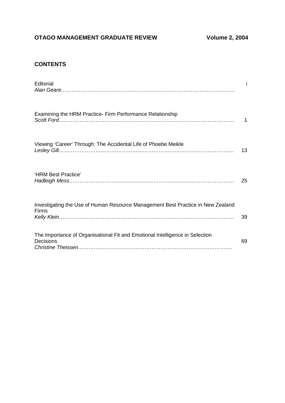## **OTAGO MANAGEMENT GRADUATE REVIEW Volume 2, 2004**

#### **CONTENTS**

| Editorial                                                                                 |    |
|-------------------------------------------------------------------------------------------|----|
| Examining the HRM Practice- Firm Performance Relationship                                 | 1  |
| Viewing 'Career' Through: The Accidental Life of Phoebe Meikle                            | 13 |
| 'HRM Best Practice'                                                                       | 25 |
| Investigating the Use of Human Resource Management Best Practice in New Zealand<br>Firms  | 39 |
| The Importance of Organisational Fit and Emotional Intelligence in Selection<br>Decisions | 69 |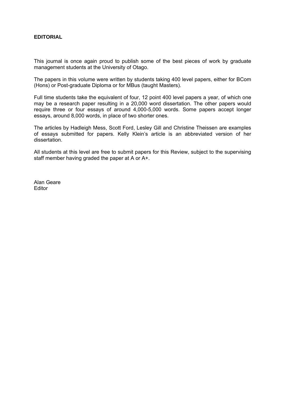#### **EDITORIAL**

This journal is once again proud to publish some of the best pieces of work by graduate management students at the University of Otago.

The papers in this volume were written by students taking 400 level papers, either for BCom (Hons) or Post-graduate Diploma or for MBus (taught Masters).

Full time students take the equivalent of four, 12 point 400 level papers a year, of which one may be a research paper resulting in a 20,000 word dissertation. The other papers would require three or four essays of around 4,000-5,000 words. Some papers accept longer essays, around 8,000 words, in place of two shorter ones.

The articles by Hadleigh Mess, Scott Ford, Lesley Gill and Christine Theissen are examples of essays submitted for papers. Kelly Klein's article is an abbreviated version of her dissertation.

All students at this level are free to submit papers for this Review, subject to the supervising staff member having graded the paper at A or A+.

Alan Geare Editor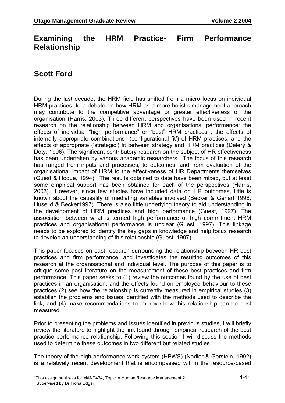## **Examining the HRM Practice- Firm Performance Relationship**

## **Scott Ford**

During the last decade, the HRM field has shifted from a micro focus on individual HRM practices, to a debate on how HRM as a more holistic management approach may contribute to the competitive advantage or greater effectiveness of the organisation (Harris, 2003). Three different perspectives have been used in recent research on the relationship between HRM and organisational performance: the effects of individual "high performance" or "best" HRM practices , the effects of internally appropriate combinations (configurational fit') of HRM practices, and the effects of appropriate ('strategic') fit between strategy and HRM practices (Delery & Doty, 1996). The significant contributory research on the subject of HR effectiveness has been undertaken by various academic researchers. The focus of this research has ranged from inputs and processes, to outcomes, and from evaluation of the organisational impact of HRM to the effectiveness of HR Departments themselves (Guest & Hoque, 1994). The results obtained to date have been mixed, but at least some empirical support has been obtained for each of the perspectives (Harris, 2003). However, since few studies have included data on HR outcomes, little is known about the causality of mediating variables involved (Becker & Gehart 1996; Huselid & Becker1997). There is also little underlying theory to aid understanding in the development of HRM practices and high performance (Guest, 1997). The association between what is termed high performance or high commitment HRM practices and organisational performance is unclear (Guest, 1997). This linkage needs to be explored to identify the key gaps in knowledge and help focus research to develop an understanding of this relationship (Guest, 1997).

This paper focuses on past research surrounding the relationship between HR best practices and firm performance, and investigates the resulting outcomes of this research at the organisational and individual level. The purpose of this paper is to critique some past literature on the measurement of these best practices and firm performance. This paper seeks to (1) review the outcomes found by the use of best practices in an organisation, and the effects found on employee behaviour to these practices (2) see how the relationship is currently measured in empirical studies (3) establish the problems and issues identified with the methods used to describe the link, and (4) make recommendations to improve how this relationship can be best measured.

Prior to presenting the problems and issues identified in previous studies, I will briefly review the literature to highlight the link found through empirical research of the best practice performance relationship. Following this section I will discuss the methods used to determine these outcomes in two different but related studies.

The theory of the high-performance work system (HPWS) (Nadler & Gerstein, 1992) is a relatively recent development that is encompassed within the resource-based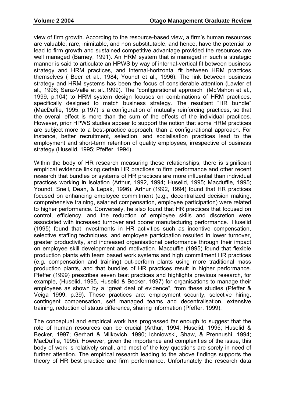view of firm growth. According to the resource-based view, a firm's human resources are valuable, rare, inimitable, and non substitutable, and hence, have the potential to lead to firm growth and sustained competitive advantage provided the resources are well managed (Barney, 1991). An HRM system that is managed in such a strategic manner is said to articulate an HPWS by way of internal-vertical fit between business strategy and HRM practices, and internal-horizontal fit between HRM practices themselves ( Beer et al., 1984; Youndt et al., 1996). The link between business strategy and HRM systems has been the focus of considerable attention (Lawler et al., 1998; Sanz-Valle et al.,1999). The "configurational approach" (McMahon et al., 1999, p.104) to HRM system design focuses on combinations of HRM practices, specifically designed to match business strategy. The resultant "HR bundle" (MacDuffie, 1995, p.197) is a configuration of mutually reinforcing practices, so that the overall effect is more than the sum of the effects of the individual practices. However, prior HPWS studies appear to support the notion that some HRM practices are subject more to a best-practice approach, than a configurational approach. For instance, better recruitment, selection, and socialisation practices lead to the employment and short-term retention of quality employees, irrespective of business strategy (Huselid, 1995; Pfeffer, 1994).

Within the body of HR research measuring these relationships, there is significant empirical evidence linking certain HR practices to firm performance and other recent research that bundles or systems of HR practices are more influential than individual practices working in isolation (Arthur, 1992, 1994; Huselid, 1995; Macduffie, 1995; Youndt, Snell, Dean, & Lepak, 1996). Arthur (1992, 1994) found that HR practices focused on enhancing employee commitment (e.g., decentralized decision making, comprehensive training, salaried compensation, employee participation) were related to higher performance. Conversely, he also found that HR practices that focused on control, efficiency, and the reduction of employee skills and discretion were associated with increased turnover and poorer manufacturing performance. Huselid (1995) found that investments in HR activities such as incentive compensation, selective staffing techniques, and employee participation resulted in lower turnover, greater productivity, and increased organisational performance through their impact on employee skill development and motivation. Macduffie (1995) found that flexible production plants with team based work systems and high commitment HR practices (e.g. compensation and training) out-perform plants using more traditional mass production plants, and that bundles of HR practices result in higher performance. Pfeffer (1999) prescribes seven best practices and highlights previous research, for example, (Huselid, 1995, Huselid & Becker, 1997) for organisations to manage their employees as shown by a "great deal of evidence", from these studies (Pfeffer & Veiga 1999, p.39). These practices are: employment security, selective hiring, contingent compensation, self managed teams and decentralisation, extensive training, reduction of status difference, sharing information (Pfeffer, 1999).

The conceptual and empirical work has progressed far enough to suggest that the role of human resources can be crucial (Arthur, 1994; Huselid, 1995; Huselid & Becker, 1997; Gerhart & Milkovich, 1990; Ichniowski, Shaw, & Prennushi, 1994; MacDuffie, 1995). However, given the importance and complexities of the issue, this body of work is relatively small, and most of the key questions are sorely in need of further attention. The empirical research leading to the above findings supports the theory of HR best practice and firm performance. Unfortunately the research data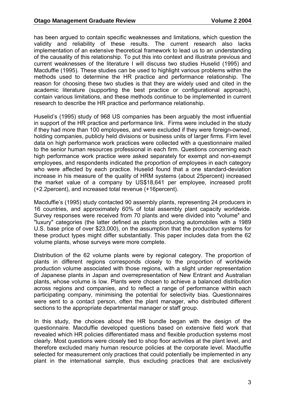has been argued to contain specific weaknesses and limitations, which question the validity and reliability of these results. The current research also lacks implementation of an extensive theoretical framework to lead us to an understanding of the causality of this relationship. To put this into context and illustrate previous and current weaknesses of the literature I will discuss two studies Huselid (1995) and Macduffie (1995). These studies can be used to highlight various problems within the methods used to determine the HR practice and performance relationship. The reason for choosing these two studies is that they are widely used and cited in the academic literature (supporting the best practice or configurational approach), contain various limitations, and these methods continue to be implemented in current research to describe the HR practice and performance relationship.

Huselid's (1995) study of 968 US companies has been arguably the most influential in support of the HR practice and performance link. Firms were included in the study if they had more than 100 employees, and were excluded if they were foreign-owned, holding companies, publicly held divisions or business units of larger firms. Firm level data on high performance work practices were collected with a questionnaire mailed to the senior human resources professional in each firm. Questions concerning each high performance work practice were asked separately for exempt and non-exempt employees, and respondents indicated the proportion of employees in each category who were affected by each practice. Huselid found that a one standard-deviation increase in his measure of the quality of HRM systems (about 25percent) increased the market value of a company by US\$18,641 per employee, increased profit (+2.2percent), and increased total revenue (+16percent).

Macduffie's (1995) study contacted 90 assembly plants, representing 24 producers in 16 countries, and approximately 60% of total assembly plant capacity worldwide. Survey responses were received from 70 plants and were divided into "volume" and "luxury" categories (the latter defined as plants producing automobiles with a 1989 U.S. base price of over \$23,000), on the assumption that the production systems for these product types might differ substantially. This paper includes data from the 62 volume plants, whose surveys were more complete.

Distribution of the 62 volume plants were by regional category. The proportion of plants in different regions corresponds closely to the proportion of worldwide production volume associated with those regions, with a slight under representation of Japanese plants in Japan and overrepresentation of New Entrant and Australian plants, whose volume is low. Plants were chosen to achieve a balanced distribution across regions and companies, and to reflect a range of performance within each participating company, minimising the potential for selectivity bias. Questionnaires were sent to a contact person, often the plant manager, who distributed different sections to the appropriate departmental manager or staff group.

In this study, the choices about the HR bundle began with the design of the questionnaire. Macduffie developed questions based on extensive field work that revealed which HR policies differentiated mass and flexible production systems most clearly. Most questions were closely tied to shop floor activities at the plant level, and therefore excluded many human resource policies at the corporate level. Macduffie selected for measurement only practices that could potentially be implemented in any plant in the international sample, thus excluding practices that are exclusively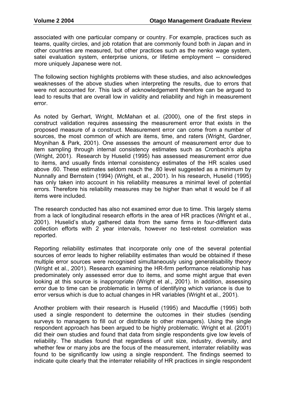associated with one particular company or country. For example, practices such as teams, quality circles, and job rotation that are commonly found both in Japan and in other countries are measured, but other practices such as the nenko wage system, satei evaluation system, enterprise unions, or lifetime employment -- considered more uniquely Japanese were not.

The following section highlights problems with these studies, and also acknowledges weaknesses of the above studies when interpreting the results, due to errors that were not accounted for. This lack of acknowledgement therefore can be argued to lead to results that are overall low in validity and reliability and high in measurement error.

As noted by Gerhart, Wright, McMahan et al. (2000), one of the first steps in construct validation requires assessing the measurement error that exists in the proposed measure of a construct. Measurement error can come from a number of sources, the most common of which are items, time, and raters (Wright, Gardner, Moynihan & Park, 2001). One assesses the amount of measurement error due to item sampling through internal consistency estimates such as Cronbach's alpha (Wright, 2001). Research by Huselid (1995) has assessed measurement error due to items, and usually finds internal consistency estimates of the HR scales used above .60. These estimates seldom reach the .80 level suggested as a minimum by Nunnally and Bernstein (1994) (Wright, et al., 2001). In his research, Huselid (1995) has only taken into account in his reliability measures a minimal level of potential errors. Therefore his reliability measures may be higher than what it would be if all items were included.

The research conducted has also not examined error due to time. This largely stems from a lack of longitudinal research efforts in the area of HR practices (Wright et al., 2001). Huselid's study gathered data from the same firms in four-different data collection efforts with 2 year intervals, however no test-retest correlation was reported.

Reporting reliability estimates that incorporate only one of the several potential sources of error leads to higher reliability estimates than would be obtained if these multiple error sources were recognised simultaneously using generalisability theory (Wright et al., 2001). Research examining the HR-firm performance relationship has predominately only assessed error due to items, and some might argue that even looking at this source is inappropriate (Wright et al., 2001). In addition, assessing error due to time can be problematic in terms of identifying which variance is due to error versus which is due to actual changes in HR variables (Wright et al., 2001).

Another problem with their research is Huselid (1995) and Macduffie (1995) both used a single respondent to determine the outcomes in their studies (sending surveys to managers to fill out or distribute to other managers). Using the single respondent approach has been argued to be highly problematic. Wright et al. (2001) did their own studies and found that data from single respondents give low levels of reliability. The studies found that regardless of unit size, industry, diversity, and whether few or many jobs are the focus of the measurement, interrater reliability was found to be significantly low using a single respondent. The findings seemed to indicate quite clearly that the interrater reliability of HR practices in single respondent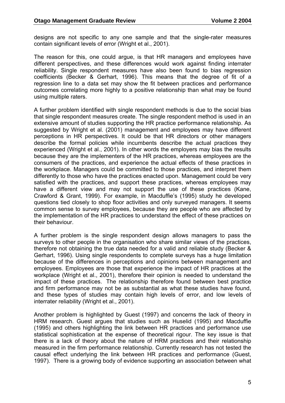designs are not specific to any one sample and that the single-rater measures contain significant levels of error (Wright et al., 2001).

The reason for this, one could argue, is that HR managers and employees have different perspectives, and these differences would work against finding interrater reliability. Single respondent measures have also been found to bias regression coefficients (Becker & Gerhart, 1996). This means that the degree of fit of a regression line to a data set may show the fit between practices and performance outcomes correlating more highly to a positive relationship than what may be found using multiple raters.

A further problem identified with single respondent methods is due to the social bias that single respondent measures create. The single respondent method is used in an extensive amount of studies supporting the HR practice performance relationship. As suggested by Wright et al. (2001) management and employees may have different perceptions in HR perspectives. It could be that HR directors or other managers describe the formal policies while incumbents describe the actual practices they experienced (Wright et al., 2001). In other words the employers may bias the results because they are the implementers of the HR practices, whereas employees are the consumers of the practices, and experience the actual effects of these practices in the workplace. Managers could be committed to those practices, and interpret them differently to those who have the practices enacted upon. Management could be very satisfied with the practices, and support these practices, whereas employees may have a different view and may not support the use of these practices (Kane, Crawford & Grant, 1999). For example, in Macduffie's (1995) study he developed questions tied closely to shop floor activities and only surveyed managers. It seems common sense to survey employees, because they are people who are affected by the implementation of the HR practices to understand the effect of these practices on their behaviour.

A further problem is the single respondent design allows managers to pass the surveys to other people in the organisation who share similar views of the practices, therefore not obtaining the true data needed for a valid and reliable study (Becker & Gerhart, 1996). Using single respondents to complete surveys has a huge limitation because of the differences in perceptions and opinions between management and employees. Employees are those that experience the impact of HR practices at the workplace (Wright et al., 2001), therefore their opinion is needed to understand the impact of these practices. The relationship therefore found between best practice and firm performance may not be as substantial as what these studies have found, and these types of studies may contain high levels of error, and low levels of interrater reliability (Wright et al., 2001).

Another problem is highlighted by Guest (1997) and concerns the lack of theory in HRM research. Guest argues that studies such as Huselid (1995) and Macduffie (1995) and others highlighting the link between HR practices and performance use statistical sophistication at the expense of theoretical rigour. The key issue is that there is a lack of theory about the nature of HRM practices and their relationship measured in the firm performance relationship. Currently research has not tested the causal effect underlying the link between HR practices and performance (Guest, 1997). There is a growing body of evidence supporting an association between what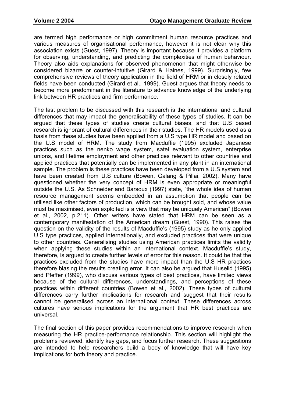are termed high performance or high commitment human resource practices and various measures of organisational performance, however it is not clear why this association exists (Guest, 1997). Theory is important because it provides a platform for observing, understanding, and predicting the complexities of human behaviour. Theory also aids explanations for observed phenomenon that might otherwise be considered bizarre or counter-intuitive (Girard & Haines, 1999). Surprisingly, few comprehensive reviews of theory application in the field of HRM or in closely related fields have been conducted (Girard et al., 1999). Guest argues that theory needs to become more predominant in the literature to advance knowledge of the underlying link between HR practices and firm performance.

The last problem to be discussed with this research is the international and cultural differences that may impact the generalisability of these types of studies. It can be argued that these types of studies create cultural biases, and that U.S based research is ignorant of cultural differences in their studies. The HR models used as a basis from these studies have been applied from a U.S type HR model and based on the U.S model of HRM. The study from Macduffie (1995) excluded Japanese practices such as the nenko wage system, satei evaluation system, enterprise unions, and lifetime employment and other practices relevant to other countries and applied practices that potentially can be implemented in any plant in an international sample. The problem is these practices have been developed from a U.S system and have been created from U.S culture (Bowen, Galang & Pillai, 2002). Many have questioned whether the very concept of HRM is even appropriate or meaningful outside the U.S. As Schneider and Barsoux (1997) state, "the whole idea of human resource management seems embedded in an assumption that people can be utilised like other factors of production, which can be brought sold, and whose value must be maximised, even exploited is a view that may be uniquely American" (Bowen et al., 2002, p.211). Other writers have stated that HRM can be seen as a contemporary manifestation of the American dream (Guest, 1990). This raises the question on the validity of the results of Macduffie's (1995) study as he only applied U.S type practices, applied internationally, and excluded practices that were unique to other countries. Generalising studies using American practices limits the validity when applying these studies within an international context. Macduffie's study, therefore, is argued to create further levels of error for this reason. It could be that the practices excluded from the studies have more impact than the U.S HR practices therefore biasing the results creating error. It can also be argued that Huselid (1995) and Pfeffer (1999), who discuss various types of best practices, have limited views because of the cultural differences, understandings, and perceptions of these practices within different countries (Bowen et al., 2002). These types of cultural differences carry further implications for research and suggest that their results cannot be generalised across an international context. These differences across cultures have serious implications for the argument that HR best practices are universal.

The final section of this paper provides recommendations to improve research when measuring the HR practice-performance relationship. This section will highlight the problems reviewed, identify key gaps, and focus further research. These suggestions are intended to help researchers build a body of knowledge that will have key implications for both theory and practice.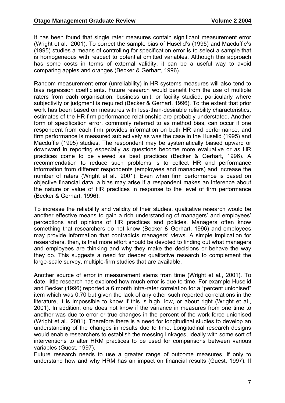It has been found that single rater measures contain significant measurement error (Wright et al., 2001). To correct the sample bias of Huselid's (1995) and Macduffie's (1995) studies a means of controlling for specification error is to select a sample that is homogeneous with respect to potential omitted variables. Although this approach has some costs in terms of external validity, it can be a useful way to avoid comparing apples and oranges (Becker & Gerhart, 1996).

Random measurement error (unreliability) in HR systems measures will also tend to bias regression coefficients. Future research would benefit from the use of multiple raters from each organisation, business unit, or facility studied, particularly where subjectivity or judgment is required (Becker & Gerhart, 1996). To the extent that prior work has been based on measures with less-than-desirable reliability characteristics, estimates of the HR-firm performance relationship are probably understated. Another form of specification error, commonly referred to as method bias, can occur if one respondent from each firm provides information on both HR and performance, and firm performance is measured subjectively as was the case in the Huselid (1995) and Macduffie (1995) studies. The respondent may be systematically biased upward or downward in reporting especially as questions become more evaluative or as HR practices come to be viewed as best practices (Becker & Gerhart, 1996). A recommendation to reduce such problems is to collect HR and performance information from different respondents (employees and managers) and increase the number of raters (Wright et al., 2001). Even when firm performance is based on objective financial data, a bias may arise if a respondent makes an inference about the nature or value of HR practices in response to the level of firm performance (Becker & Gerhart, 1996).

To increase the reliability and validity of their studies, qualitative research would be another effective means to gain a rich understanding of managers' and employees' perceptions and opinions of HR practices and policies. Managers often know something that researchers do not know (Becker & Gerhart, 1996) and employees may provide information that contradicts managers' views. A simple implication for researchers, then, is that more effort should be devoted to finding out what managers and employees are thinking and why they make the decisions or behave the way they do. This suggests a need for deeper qualitative research to complement the large-scale survey, multiple-firm studies that are available.

Another source of error in measurement stems from time (Wright et al., 2001). To date, little research has explored how much error is due to time. For example Huselid and Becker (1996) reported a 6 month intra-rater correlation for a "percent unionised" item which was 0.70 but given the lack of any other such reported correlations in the literature, it is impossible to know if this is high, low, or about right (Wright et al., 2001). In addition, one does not know if the variance in measures from one time to another was due to error or true changes in the percent of the work force unionised (Wright et al., 2001). Therefore there is a need for longitudinal studies to develop an understanding of the changes in results due to time. Longitudinal research designs would enable researchers to establish the messing linkages, ideally with some sort of interventions to alter HRM practices to be used for comparisons between various variables (Guest, 1997).

Future research needs to use a greater range of outcome measures, if only to understand how and why HRM has an impact on financial results (Guest, 1997). If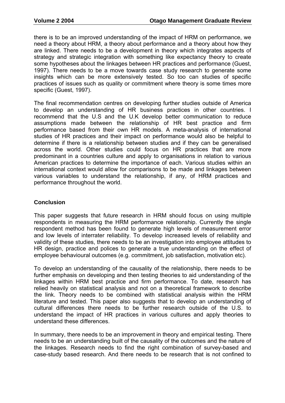there is to be an improved understanding of the impact of HRM on performance, we need a theory about HRM, a theory about performance and a theory about how they are linked. There needs to be a development in theory which integrates aspects of strategy and strategic integration with something like expectancy theory to create some hypotheses about the linkages between HR practices and performance (Guest, 1997). There needs to be a move towards case study research to generate some insights which can be more extensively tested. So too can studies of specific practices of issues such as quality or commitment where theory is some times more specific (Guest, 1997).

The final recommendation centres on developing further studies outside of America to develop an understanding of HR business practices in other countries. I recommend that the U.S and the U.K develop better communication to reduce assumptions made between the relationship of HR best practice and firm performance based from their own HR models. A meta-analysis of international studies of HR practices and their impact on performance would also be helpful to determine if there is a relationship between studies and if they can be generalised across the world. Other studies could focus on HR practices that are more predominant in a countries culture and apply to organisations in relation to various American practices to determine the importance of each. Various studies within an international context would allow for comparisons to be made and linkages between various variables to understand the relationship, if any, of HRM practices and performance throughout the world.

#### **Conclusion**

This paper suggests that future research in HRM should focus on using multiple respondents in measuring the HRM performance relationship. Currently the single respondent method has been found to generate high levels of measurement error and low levels of interrater reliability. To develop increased levels of reliability and validity of these studies, there needs to be an investigation into employee attitudes to HR design, practice and polices to generate a true understanding on the effect of employee behavioural outcomes (e.g. commitment, job satisfaction, motivation etc).

To develop an understanding of the causality of the relationship, there needs to be further emphasis on developing and then testing theories to aid understanding of the linkages within HRM best practice and firm performance. To date, research has relied heavily on statistical analysis and not on a theoretical framework to describe the link. Theory needs to be combined with statistical analysis within the HRM literature and tested. This paper also suggests that to develop an understanding of cultural differences there needs to be further research outside of the U.S. to understand the impact of HR practices in various cultures and apply theories to understand these differences.

In summary, there needs to be an improvement in theory and empirical testing. There needs to be an understanding built of the causality of the outcomes and the nature of the linkages. Research needs to find the right combination of survey-based and case-study based research. And there needs to be research that is not confined to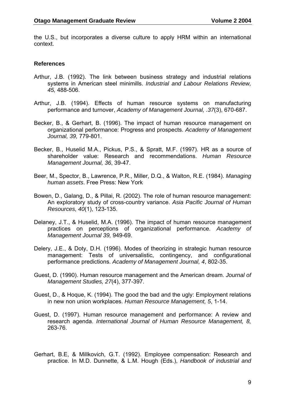the U.S., but incorporates a diverse culture to apply HRM within an international context.

#### **References**

- Arthur, J.B. (1992). The link between business strategy and industrial relations systems in American steel minimills. *Industrial and Labour Relations Review, 45,* 488-506.
- Arthur, J.B. (1994). Effects of human resource systems on manufacturing performance and turnover, *Academy of Management Journal, .37*(3), 670-687.
- Becker, B., & Gerhart, B. (1996). The impact of human resource management on organizational performance: Progress and prospects. *Academy of Management Journal, 39,* 779-801.
- Becker, B., Huselid M.A., Pickus, P.S., & Spratt, M.F. (1997). HR as a source of shareholder value: Research and recommendations. *Human Resource Management Journal, 36*, 39-47.
- Beer, M., Spector, B., Lawrence, P.R., Miller, D.Q., & Walton, R.E. (1984). *Managing human assets*. Free Press: New York
- Bowen, D., Galang, D., & Pillai, R. (2002). The role of human resource management: An exploratory study of cross-country variance. *Asia Pacific Journal of Human Resources, 40*(1), 123-135.
- Delaney, J.T., & Huselid, M.A. (1996). The impact of human resource management practices on perceptions of organizational performance. *Academy of Management Journal 39,* 949-69.
- Delery, J.E., & Doty, D.H. (1996). Modes of theorizing in strategic human resource management: Tests of universalistic, contingency, and configurational performance predictions. *Academy of Management Journal, 4*, 802-35.
- Guest, D. (1990). Human resource management and the American dream. *Journal of Management Studies, 27*(4), 377-397.
- Guest, D., & Hoque, K. (1994). The good the bad and the ugly: Employment relations in new non union workplaces. *Human Resource Management, 5*, 1-14.
- Guest, D. (1997). Human resource management and performance: A review and research agenda. *International Journal of Human Resource Management, 8,* 263-76.
- Gerhart, B.E, & Millkovich, G.T. (1992). Employee compensation: Research and practice. In M.D. Dunnette, & L.M. Hough (Eds.), *Handbook of industrial and*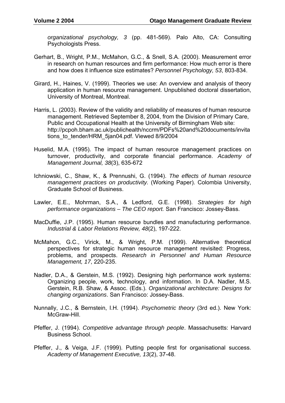*organizational psychology, 3* (pp. 481-569). Palo Alto, CA: Consulting Psychologists Press.

- Gerhart, B., Wright, P.M., McMahon, G.C., & Snell, S.A. (2000). Measurement error in research on human resources and firm performance: How much error is there and how does it influence size estimates? *Personnel Psychology, 53*, 803-834.
- Girard, H., Haines, V. (1999). Theories we use: An overview and analysis of theory application in human resource management. Unpublished doctoral dissertation, University of Montreal, Montreal.
- Harris, L. (2003). Review of the validity and reliability of measures of human resource management. Retrieved September 8, 2004, from the Division of Primary Care, Public and Occupational Health at the University of Birmingham Web site: http://pcpoh.bham.ac.uk/publichealth/nccrm/PDFs%20and%20documents/invita tions\_to\_tender/HRM\_5jan04.pdf. Viewed 8/9/2004
- Huselid, M.A. (1995). The impact of human resource management practices on turnover, productivity, and corporate financial performance. *Academy of Management Journal, 38*(3), 635-672
- Ichniowski, C., Shaw, K., & Prennushi, G. (1994). *The effects of human resource management practices on productivity.* (Working Paper). Colombia University, Graduate School of Business.
- Lawler, E.E., Mohrman, S.A., & Ledford, G.E. (1998). *Strategies for high performance organizations – The CEO report.* San Francisco: Jossey-Bass.
- MacDuffie, J.P. (1995). Human resource bundles and manufacturing performance. *Industrial & Labor Relations Review, 48*(2), 197-222.
- McMahon, G.C., Virick, M., & Wright, P.M. (1999). Alternative theoretical perspectives for strategic human resource management revisited: Progress, problems, and prospects. *Research in Personnel and Human Resource Management, 17*, 220-235.
- Nadler, D.A., & Gerstein, M.S. (1992). Designing high performance work systems: Organizing people, work, technology, and information. In D.A. Nadler, M.S. Gerstein, R.B. Shaw, & Assoc. (Eds.). *Organizational architecture: Designs for changing organizations*. San Francisco: Jossey-Bass.
- Nunnally, J.C., & Bernstein, I.H. (1994). *Psychometric theory* (3rd ed.). New York: McGraw-Hill.
- Pfeffer, J. (1994). *Competitive advantage through people*. Massachusetts: Harvard Business School.
- Pfeffer, J., & Veiga, J.F. (1999). Putting people first for organisational success. *Academy of Management Executive, 13*(2), 37-48.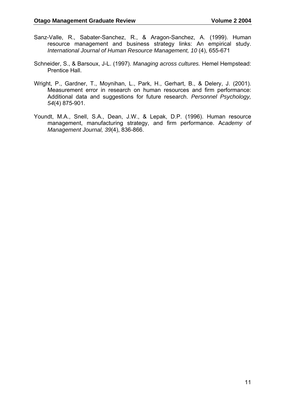- Sanz-Valle, R., Sabater-Sanchez, R., & Aragon-Sanchez, A. (1999). Human resource management and business strategy links: An empirical study. *International Journal of Human Resource Management, 10* (4), 655-671
- Schneider, S., & Barsoux, J-L. (1997). *Managing across cultures.* Hemel Hempstead: Prentice Hall.
- Wright, P., Gardner, T., Moynihan, L., Park, H., Gerhart, B., & Delery, J. (2001). Measurement error in research on human resources and firm performance: Additional data and suggestions for future research. *Personnel Psychology, 54*(4) 875-901.
- Youndt, M.A., Snell, S.A., Dean, J.W., & Lepak, D.P. (1996). Human resource management, manufacturing strategy, and firm performance. A*cademy of Management Journal, 39*(4), 836-866.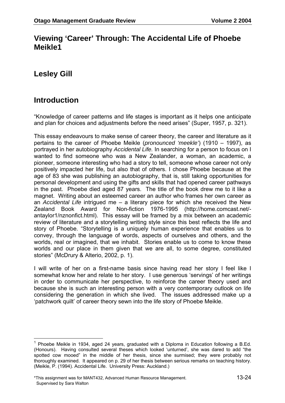## **Viewing 'Career' Through: The Accidental Life of Phoebe Meikle1**

**Lesley Gill** 

## **Introduction**

 $\overline{a}$ 

"Knowledge of career patterns and life stages is important as it helps one anticipate and plan for choices and adjustments before the need arises" (Super, 1957, p. 321).

This essay endeavours to make sense of career theory, the career and literature as it pertains to the career of Phoebe Meikle (*pronounced 'meekle'*) (1910 – 1997), as portrayed in her autobiography *Accidental Life.* In searching for a person to focus on I wanted to find someone who was a New Zealander, a woman, an academic, a pioneer, someone interesting who had a story to tell, someone whose career not only positively impacted her life, but also that of others. I chose Phoebe because at the age of 83 she was publishing an autobiography, that is, still taking opportunities for personal development and using the gifts and skills that had opened career pathways in the past. Phoebe died aged 87 years. The title of the book drew me to it like a magnet. Writing about an esteemed career an author who frames her own career as an *Accidental Life* intrigued me – a literary piece for which she received the New Zealand Book Award for Non-fiction 1976-1995 (http://home.comcast.net/ antaylor1/nznonfict.html). This essay will be framed by a mix between an academic review of literature and a storytelling writing style since this best reflects the life and story of Phoebe. "Storytelling is a uniquely human experience that enables us to convey, through the language of words, aspects of ourselves and others, and the worlds, real or imagined, that we inhabit. Stories enable us to come to know these worlds and our place in them given that we are all, to some degree, constituted stories" (McDrury & Alterio, 2002, p. 1).

I will write of her on a first-name basis since having read her story I feel like I somewhat know her and relate to her story. I use generous 'servings' of her writings in order to communicate her perspective, to reinforce the career theory used and because she is such an interesting person with a very contemporary outlook on life considering the generation in which she lived. The issues addressed make up a 'patchwork quilt' of career theory sewn into the life story of Phoebe Meikle.

<sup>1</sup> Phoebe Meikle in 1934, aged 24 years, graduated with a Diploma in Education following a B.Ed. (Honours). Having consulted several theses which looked 'unturned', she was dared to add "the spotted cow mooed" in the middle of her thesis, since she surmised; they were probably not thoroughly examined. It appeared on p. 29 of her thesis between serious remarks on teaching history. (Meikle, P. (1994). Accidental Life. University Press: Auckland.)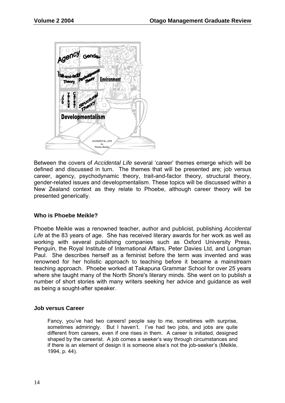

Between the covers of *Accidental Life* several 'career' themes emerge which will be defined and discussed in turn. The themes that will be presented are; job versus career, agency, psychodynamic theory, trait-and-factor theory, structural theory, gender-related issues and developmentalism. These topics will be discussed within a New Zealand context as they relate to Phoebe, although career theory will be presented generically.

#### **Who is Phoebe Meikle?**

Phoebe Meikle was a renowned teacher, author and publicist, publishing *Accidental*  Life at the 83 years of age. She has received literary awards for her work as well as working with several publishing companies such as Oxford University Press, Penguin, the Royal Institute of International Affairs, Peter Davies Ltd, and Longman Paul. She describes herself as a feminist before the term was invented and was renowned for her holistic approach to teaching before it became a mainstream teaching approach. Phoebe worked at Takapuna Grammar School for over 25 years where she taught many of the North Shore's literary minds. She went on to publish a number of short stories with many writers seeking her advice and guidance as well as being a sought-after speaker.

#### **Job versus Career**

Fancy, you've had two careers! people say to me, sometimes with surprise, sometimes admiringly. But I haven't. I've had two jobs, and jobs are quite different from careers, even if one rises in them. A career is initiated, designed shaped by the careerist. A job comes a seeker's way through circumstances and if there is an element of design it is someone else's not the job-seeker's (Meikle, 1994, p. 44).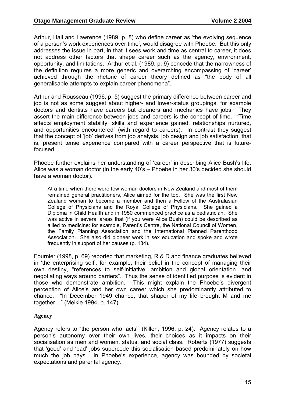Arthur, Hall and Lawrence (1989, p. 8) who define career as 'the evolving sequence of a person's work experiences over time', would disagree with Phoebe. But this only addresses the issue in part, in that it sees work and time as central to career, it does not address other factors that shape career such as the agency, environment, opportunity, and limitations. Arthur et al. (1989, p. 9) concede that the narrowness of the definition requires a more generic and overarching encompassing of 'career' achieved through the rhetoric of career theory defined as "the body of all generalisable attempts to explain career phenomena".

Arthur and Rousseau (1996, p. 5) suggest the primary difference between career and job is not as some suggest about higher- and lower-status groupings, for example doctors and dentists have careers but cleaners and mechanics have jobs. They assert the main difference between jobs and careers is the concept of time. "Time affects employment stability, skills and experience gained, relationships nurtured, and opportunities encountered" (with regard to careers). In contrast they suggest that the concept of 'job' derives from job analysis, job design and job satisfaction, that is, present tense experience compared with a career perspective that is futurefocused.

Phoebe further explains her understanding of 'career' in describing Alice Bush's life. Alice was a woman doctor (in the early 40's – Phoebe in her 30's decided she should have a woman doctor).

At a time when there were few woman doctors in New Zealand and most of them remained general practitioners, Alice aimed for the top. She was the first New Zealand woman to become a member and then a Fellow of the Australasian College of Physicians and the Royal College of Physicians. She gained a Diploma in Child Health and in 1950 commenced practice as a pediatrician. She was active in several areas that (if you were Alice Bush) could be described as allied to medicine: for example, Parent's Centre, the National Council of Women, the Family Planning Association and the International Planned Parenthood Association. She also did pioneer work in sex education and spoke and wrote frequently in support of her causes (p. 134).

Fournier (1998, p. 69) reported that marketing, R & D and finance graduates believed in 'the enterprising self', for example, their belief in the concept of managing their own destiny, "references to self-initiative, ambition and global orientation…and negotiating ways around barriers". Thus the sense of identified purpose is evident in those who demonstrate ambition. This might explain the Phoebe's divergent perception of Alice's and her own career which she predominantly attributed to chance. "In December 1949 chance, that shaper of my life brought M and me together…" (Meikle 1994, p. 147)

#### **Agency**

Agency refers to "the person who 'acts'" (Killen, 1996, p. 24). Agency relates to a person's autonomy over their own lives, their choices as it impacts on their socialisation as men and women, status, and social class. Roberts (1977) suggests that 'good' and 'bad' jobs supercede this socialisation based predominately on how much the job pays. In Phoebe's experience, agency was bounded by societal expectations and parental agency.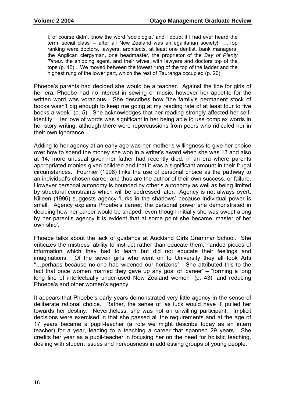I, of course didn't know the word 'sociologist' and I doubt if I had ever heard the term 'social class' – after all New Zealand was an egalitarian society! …Top ranking were doctors, lawyers, architects, at least one dentist, bank managers, the Anglican clergyman, one headmaster, the proprietor of the *Bay of Plenty Times,* the shipping agent, and their wives, with lawyers and doctors top of the tops (p. 15)... We moved between the lowest rung of the top of the ladder and the highest rung of the lower part, which the rest of Tauranga occupied (p. 20).

Phoebe's parents had decided she would be a teacher. Against the tide for girls of her era, Phoebe had no interest in sewing or music, however her appetite for the written word was voracious. She describes how "the family's permanent stock of books wasn't big enough to keep me going at my reading rate of at least four to five books a week" (p. 5). She acknowledges that her reading strongly affected her selfidentity. Her love of words was significant in her being able to use complex words in her story writing, although there were repercussions from peers who ridiculed her in their own ignorance.

Adding to her agency at an early age was her mother's willingness to give her choice over how to spend the money she won in a writer's award when she was 13 and also at 14, more unusual given her father had recently died, in an era where parents appropriated monies given children and that it was a significant amount in their frugal circumstances. Fournier (1998) links the use of personal choice as the pathway to an individual's chosen career and thus are the author of their own success, or failure. However personal autonomy is bounded by other's autonomy as well as being limited by structural constraints which will be addressed later. Agency is not always overt. Killeen (1996) suggests agency 'lurks in the shadows' because individual power is small. Agency explains Phoebe's career; the personal power she demonstrated in deciding how her career would be shaped, even though initially she was swept along by her parent's agency it is evident that at some point she became 'master of her own ship'.

Phoebe talks about the lack of guidance at Auckland Girls Grammar School. She criticizes the mistress' ability to instruct rather than educate them; handed pieces of information which they had to learn but did not educate their feelings and imaginations. Of the seven girls who went on to University they all took Arts "…perhaps because no-one had widened our horizons". She attributed this to the fact that once women married they gave up any goal of 'career' – "forming a long long line of intellectually under-used New Zealand women" (p. 43), and reducing Phoebe's and other women's agency.

It appears that Phoebe's early years demonstrated very little agency in the sense of deliberate rational choice. Rather, the sense of 'as luck would have it' pulled her towards her destiny. Nevertheless, she was not an unwilling participant. Implicit decisions were exercised in that she passed all the requirements and at the age of 17 years became a pupil-teacher (a role we might describe today as an intern teacher) for a year, leading to a teaching a career that spanned 29 years. She credits her year as a pupil-teacher in focusing her on the need for holistic teaching, dealing with student issues and nervousness in addressing groups of young people.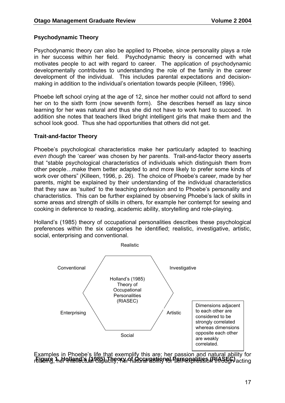#### **Psychodynamic Theory**

Psychodynamic theory can also be applied to Phoebe, since personality plays a role in her success within her field. Psychodynamic theory is concerned with what motivates people to act with regard to career. The application of psychodynamic developmentally contributes to understanding the role of the family in the career development of the individual. This includes parental expectations and decisionmaking in addition to the individual's orientation towards people (Killeen, 1996).

Phoebe left school crying at the age of 12, since her mother could not afford to send her on to the sixth form (now seventh form). She describes herself as lazy since learning for her was natural and thus she did not have to work hard to succeed. In addition she notes that teachers liked bright intelligent girls that make them and the school look good. Thus she had opportunities that others did not get.

#### **Trait-and-factor Theory**

Phoebe's psychological characteristics make her particularly adapted to teaching *even though* the 'career' was chosen by her parents. Trait-and-factor theory asserts that "stable psychological characteristics of individuals which distinguish them from other people…make them better adapted to and more likely to prefer some kinds of work over others" (Killeen, 1996, p. 26). The choice of Phoebe's career, made by her parents, might be explained by their understanding of the individual characteristics that they saw as 'suited' to the teaching profession and to Phoebe's personality and characteristics. This can be further explained by observing Phoebe's lack of skills in some areas and strength of skills in others, for example her contempt for sewing and cooking in deference to reading, academic ability, storytelling and role-playing.

Holland's (1985) theory of occupational personalities describes these psychological preferences within the six categories he identified; realistic, investigative, artistic, social, enterprising and conventional.



Examples in Phoebe's life that exemplify this are; her passion and natural ability for r**Eigurie, her olland card 285) Theory of AGGNeetien for Bereexplession through** acting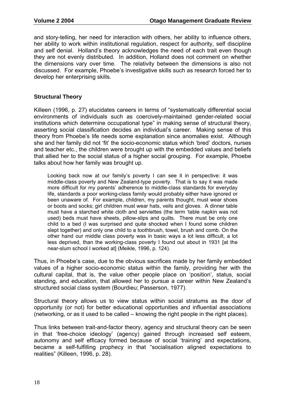and story-telling, her need for interaction with others, her ability to influence others, her ability to work within institutional regulation, respect for authority, self discipline and self denial. Holland's theory acknowledges the need of each trait even though they are not evenly distributed. In addition, Holland does not comment on whether the dimensions vary over time. The relativity between the dimensions is also not discussed. For example, Phoebe's investigative skills such as research forced her to develop her enterprising skills.

#### **Structural Theory**

Killeen (1996, p. 27) elucidates careers in terms of "systematically differential social environments of individuals such as coercively-maintained gender-related social institutions which determine occupational type" in making sense of structural theory, asserting social classification decides an individual's career. Making sense of this theory from Phoebe's life needs some explanation since anomalies exist. Although she and her family did not 'fit' the socio-economic status which 'bred' doctors, nurses and teacher etc., the children were brought up with the embedded values and beliefs that allied her to the social status of a higher social grouping. For example, Phoebe talks about how her family was brought up.

Looking back now at our family's poverty I can see it in perspective: it was middle-class poverty and New Zealand-type poverty. That is to say it was made more difficult for my parents' adherence to middle-class standards for everyday life, standards a poor working-class family would probably either have ignored or been unaware of. For example, children, my parents thought, must wear shoes or boots and socks; girl children must wear hats, veils and gloves. A dinner table must have a starched white cloth and serviettes (the term 'table napkin was not used) beds must have sheets, pillow-slips and quilts. There must be only one child to a bed (I was surprised and quite shocked when I found some children slept together) and only one child to a toothbrush, towel, brush and comb. On the other hand our middle class poverty was in basic ways a lot less difficult, a lot less deprived, than the working-class poverty I found out about in 1931 [at the near-slum school I worked at] (Meikle, 1996, p. 124).

Thus, in Phoebe's case, due to the obvious sacrifices made by her family embedded values of a higher socio-economic status within the family, providing her with the cultural capital, that is, the value other people place on 'position', status, social standing, and education, that allowed her to pursue a career within New Zealand's structured social class system (Bourdieu; Passerson, 1977).

Structural theory allows us to view status within social stratums as the door of opportunity (or not) for better educational opportunities and influential associations (networking, or as it used to be called – knowing the right people in the right places).

Thus links between trait-and-factor theory, agency and structural theory can be seen in that 'free-choice ideology' (agency) gained through increased self esteem, autonomy and self efficacy formed because of social 'training' and expectations, became a self-fulfilling prophecy in that "socialisation aligned expectations to realities" (Killeen, 1996, p. 28).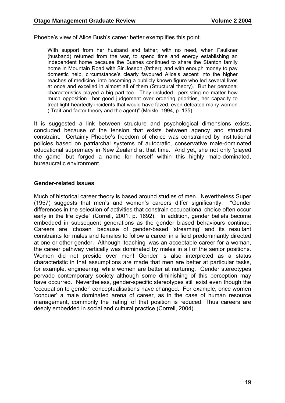Phoebe's view of Alice Bush's career better exemplifies this point.

With support from her husband and father; with no need, when Faulkner (husband) returned from the war, to spend time and energy establishing an independent home because the Bushes continued to share the Stanton family home in Mountain Road with Sir Joseph (father); and with enough money to pay domestic help, circumstance's clearly favoured Alice's ascent into the higher reaches of medicine, into becoming a publicly known figure who led several lives at once and excelled in almost all of them (Structural theory). But her personal characteristics played a big part too. They included…persisting no matter how much opposition…her good judgement over ordering priorities, her capacity to treat light-heartedly incidents that would have fazed, even defeated many women ( Trait-and factor theory and the agent)" (Meikle, 1994, p. 135).

It is suggested a link between structure and psychological dimensions exists, concluded because of the tension that exists between agency and structural constraint. Certainly Phoebe's freedom of choice was constrained by institutional policies based on patriarchal systems of autocratic, conservative male-dominated educational supremacy in New Zealand at that time. And yet, she not only 'played the game' but forged a name for herself within this highly male-dominated, bureaucratic environment.

#### **Gender-related Issues**

Much of historical career theory is based around studies of men. Nevertheless Super (1957) suggests that men's and women's careers differ significantly. "Gender differences in the selection of activities that constrain occupational choice often occur early in the life cycle" (Correll, 2001, p. 1692). In addition, gender beliefs become embedded in subsequent generations as the gender biased behaviours continue. Careers are 'chosen' because of gender-based 'streaming' and its resultant constraints for males and females to follow a career in a field predominantly directed at one or other gender. Although 'teaching' was an acceptable career for a woman, the career pathway vertically was dominated by males in all of the senior positions. Women did not preside over men! Gender is also interpreted as a status characteristic in that assumptions are made that men are better at particular tasks, for example, engineering, while women are better at nurturing. Gender stereotypes pervade contemporary society although some diminishing of this perception may have occurred. Nevertheless, gender-specific stereotypes still exist even though the 'occupation to gender' conceptualisations have changed. For example, once women 'conquer' a male dominated arena of career, as in the case of human resource management, commonly the 'rating' of that position is reduced. Thus careers are deeply embedded in social and cultural practice (Correll, 2004).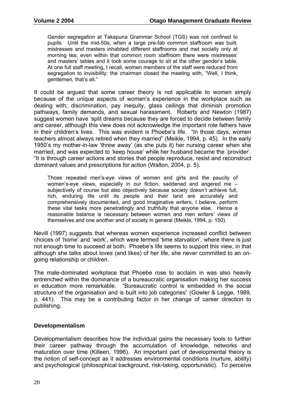Gender segregation at Takapuna Grammar School (TGS) was not confined to pupils. Until the mid-50s, when a large pre-fab common staffroom was built, mistresses and masters inhabited different staffrooms and met socially only at morning tea; even within that common room staffroom there were mistresses' and masters' tables and it took some courage to sit at the other gender's table. At one full staff meeting, I recall, women members of the staff were reduced from segregation to invisibility: the chairman closed the meeting with, "Well, I think, gentlemen, that's all."

It could be argued that some career theory is not applicable to women simply because of the unique aspects of women's experience in the workplace such as dealing with; discrimination, pay inequity, glass ceilings that diminish promotion pathways, family demands, and sexual harassment. Roberts and Newton (1987) suggest women have 'split dreams because they are forced to decide between family and career, although this view does not acknowledge the important role fathers have in their children's lives. This was evident is Phoebe's life. "In those days, women teachers almost always retired when they married" (Meikle, 1994, p. 45). In the early 1950's my mother-in-law 'threw away' (as she puts it) her nursing career when she married, and was expected to 'keep house' while her husband became the 'provider'. "It is through career actions and stories that people reproduce, resist and reconstruct dominant values and prescriptions for action (Walton, 2004, p. 5).

Those repeated men's-eye views of women and girls and the paucity of women's-eye views, especially in our fiction, saddened and angered me – subjectively of course but also objectively because society doesn't achieve full, rich, enduring life until its people and their land are accurately and comprehensively documented, and good imaginative writers, I believe, perform these vital tasks more penetratingly and truthfully that anyone else. Hence a reasonable balance is necessary between women and men writers' views of themselves and one another and of society in general (Meikle, 1994, p. 150).

Nevill (1997) suggests that whereas women experience increased conflict between choices of 'home' and 'work', which were termed 'time starvation', where there is just not enough time to succeed at both. Phoebe's life seems to support this view, in that although she talks about loves (and likes) of her life, she never committed to an ongoing relationship or children.

The male-dominated workplace that Phoebe rose to acclaim in was also heavily entrenched within the dominance of a bureaucratic organisation making her success in education more remarkable. "Bureaucratic control is embedded in the social structure of the organisation and is built into job categories" (Gowler & Legge, 1989, p. 441). This may be a contributing factor in her change of career direction to publishing.

#### **Developmentalism**

Developmentalism describes how the individual gains the necessary tools to further their career pathway through the accumulation of knowledge, networks and maturation over time (Killeen, 1996). An important part of developmental theory is the notion of self-concept as it addresses environmental conditions (nurture, ability) and psychological (philosophical background, risk-taking, opportunistic). To perceive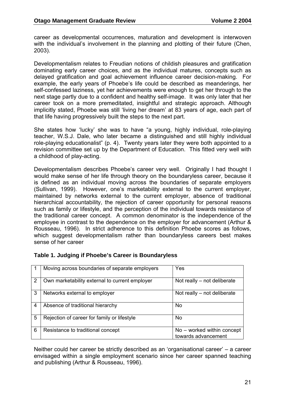career as developmental occurrences, maturation and development is interwoven with the individual's involvement in the planning and plotting of their future (Chen, 2003).

Developmentalism relates to Freudian notions of childish pleasures and gratification dominating early career choices, and as the individual matures, concepts such as delayed gratification and goal achievement influence career decision-making. For example, the early years of Phoebe's life could be described as meanderings, her self-confessed laziness, yet her achievements were enough to get her through to the next stage partly due to a confident and healthy self-image. It was only later that her career took on a more premeditated, insightful and strategic approach. Although implicitly stated, Phoebe was still 'living her dream' at 83 years of age, each part of that life having progressively built the steps to the next part.

She states how 'lucky' she was to have "a young, highly individual, role-playing teacher, W.S.J. Dale, who later became a distinguished and still highly individual role-playing educationalist" (p. 4). Twenty years later they were both appointed to a revision committee set up by the Department of Education. This fitted very well with a childhood of play-acting.

Developmentalism describes Phoebe's career very well. Originally I had thought I would make sense of her life through theory on the boundaryless career, because it is defined as an individual moving across the boundaries of separate employers (Sullivan, 1999). However, one's marketability external to the current employer, maintained by networks external to the current employer, absence of traditional hierarchical accountability, the rejection of career opportunity for personal reasons such as family or lifestyle, and the perception of the individual towards resistance of the traditional career concept. A common denominator is the independence of the employee in contrast to the dependence on the employer for advancement (Arthur & Rousseau, 1996). In strict adherence to this definition Phoebe scores as follows, which suggest developmentalism rather than boundaryless careers best makes sense of her career

|   | Moving across boundaries of separate employers | Yes                                               |
|---|------------------------------------------------|---------------------------------------------------|
| 2 | Own marketability external to current employer | Not really $-$ not deliberate                     |
| 3 | Networks external to employer                  | Not really $-$ not deliberate                     |
| 4 | Absence of traditional hierarchy               | No.                                               |
| 5 | Rejection of career for family or lifestyle    | No.                                               |
| 6 | Resistance to traditional concept              | No – worked within concept<br>towards advancement |

#### **Table 1. Judging if Phoebe's Career is Boundaryless**

Neither could her career be strictly described as an 'organisational career' – a career envisaged within a single employment scenario since her career spanned teaching and publishing (Arthur & Rousseau, 1996).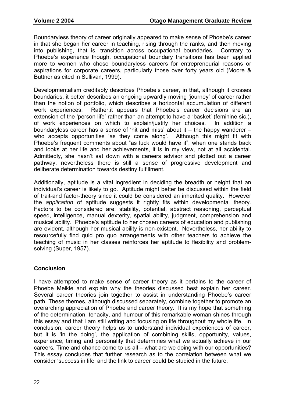Boundaryless theory of career originally appeared to make sense of Phoebe's career in that she began her career in teaching, rising through the ranks, and then moving into publishing, that is, transition across occupational boundaries. Contrary to Phoebe's experience though, occupational boundary transitions has been applied more to women who chose boundaryless careers for entrepreneurial reasons or aspirations for corporate careers, particularly those over forty years old (Moore & Buttner as cited in Sullivan, 1999).

Developmentalism creditably describes Phoebe's career, in that, although it crosses boundaries, it better describes an ongoing upwardly moving 'journey' of career rather than the notion of portfolio, which describes a horizontal accumulation of different work experiences. Rather,it appears that Phoebe's career decisions are an extension of the 'person life' rather than an attempt to have a 'basket' (feminine sic.), of work experiences on which to explain/justify her choices. In addition a boundaryless career has a sense of 'hit and miss' about it – the happy wanderer – who accepts opportunities 'as they come along'. Although this might fit with Phoebe's frequent comments about "as luck would have it", when one stands back and looks at her life and her achievements, it is in my view, not at all accidental. Admittedly, she hasn't sat down with a careers advisor and plotted out a career pathway, nevertheless there is still a sense of progressive development and deliberate determination towards destiny fulfillment.

Additionally, aptitude is a vital ingredient in deciding the breadth or height that an individual's career is likely to go. Aptitude might better be discussed within the field of trait-and factor-theory since it could be considered an inherited quality. However the *application* of aptitude suggests it rightly fits within developmental theory. Factors to be considered are; stability, potential, abstract reasoning, perceptual speed, intelligence, manual dexterity, spatial ability, judgment, comprehension and musical ability. Phoebe's aptitude to her chosen careers of education and publishing are evident, although her musical ability is non-existent. Nevertheless, her ability to resourcefully find quid pro quo arrangements with other teachers to achieve the teaching of music in her classes reinforces her aptitude to flexibility and problemsolving (Super, 1957).

#### **Conclusion**

I have attempted to make sense of career theory as it pertains to the career of Phoebe Meikle and explain why the theories discussed best explain her career. Several career theories join together to assist in understanding Phoebe's career path. These themes, although discussed separately, combine together to promote an overarching appreciation of Phoebe and career theory. It is my hope that something of the determination, tenacity, and humour of this remarkable woman shines through this essay and that I am still writing and focusing on life throughout my whole life. In conclusion, career theory helps us to understand individual experiences of career, but it is 'in the doing', the application of combining skills, opportunity, values, experience, timing and personality that determines what we actually achieve in our careers*.* Time and chance come to us all – what are we doing with our opportunities? This essay concludes that further research as to the correlation between what we consider 'success in life' and the link to career could be studied in the future.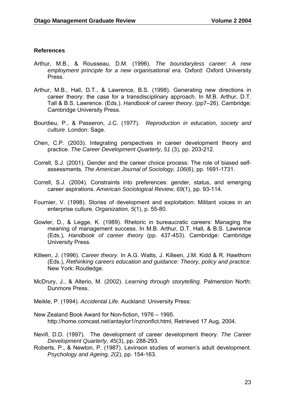#### **References**

- Arthur, M.B., & Rousseau, D.M. (1996). *The boundaryless career: A new employment principle for a new organisational era.* Oxford: Oxford University Press.
- Arthur, M.B., Hall, D.T., & Lawrence, B.S. (1998). Generating new directions in career theory: the case for a transdisciplinary approach. In M.B. Arthur, D.T. Tall & B.S. Lawrence. (Eds.). *Handbook of career theory.* (pp7–26). Cambridge: Cambridge University Press.
- Bourdieu, P., & Passeron, J.C. (1977). *Reproduction in education, society and culture.* London: Sage.
- Chen, C.P. (2003). Integrating perspectives in career development theory and practice. *The Career Development Quarterly, 51* (3), pp. 203-212.
- Correll, S.J. (2001). Gender and the career choice process: The role of biased selfassessments. *The American Journal of Sociology, 106*(6), pp. 1691-1731.
- Correll, S.J. (2004). Constraints into preferences: gender, status, and emerging career aspirations. *American Sociological Review, 69*(1), pp. 93-114.
- Fournier, V. (1998). Stories of development and exploitation: Militant voices in an enterprise culture. *Organization, 5*(1), p. 55-80.
- Gowler, D., & Legge, K. (1989). Rhetoric in bureaucratic careers: Managing the meaning of management success. In M.B. Arthur, D.T. Hall, & B.S. Lawrence (Eds.), *Handbook of career theory* (pp. 437-453). Cambridge: Cambridge University Press.
- Killeen, J. (1996). *Career theory.* In A.G. Watts, J. Killeen, J.M. Kidd & R. Hawthorn (Eds.), *Rethinking careers education and guidance: Theory, policy and practice.*  New York: Routledge.
- McDrury, J., & Alterio, M. (2002). *Learning through storytelling.* Palmerston North: Dunmore Press.
- Meikle, P. (1994). *Accidental Life.* Auckland: University Press:
- New Zealand Book Award for Non-fiction, 1976 1995. http://home.comcast.net/antaylor1/nznonfict.html, Retrieved 17 Aug, 2004.
- Nevill, D.D. (1997). The development of career development theory. *The Career Development Quarterly, 45*(3), pp. 288-293.
- Roberts, P., & Newton, P. (1987). Levinson studies of women's adult development. *Psychology and Ageing, 2*(2), pp. 154-163.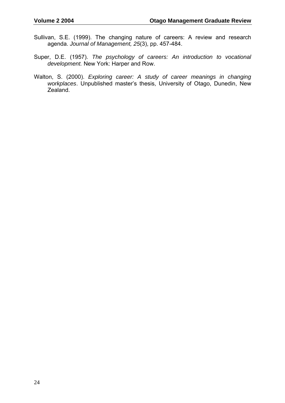- Sullivan, S.E. (1999). The changing nature of careers: A review and research agenda. *Journal of Management, 25*(3), pp. 457-484.
- Super, D.E. (1957). *The psychology of careers: An introduction to vocational development.* New York: Harper and Row.
- Walton, S. (2000). *Exploring career: A study of career meanings in changing workplaces*. Unpublished master's thesis, University of Otago, Dunedin, New Zealand.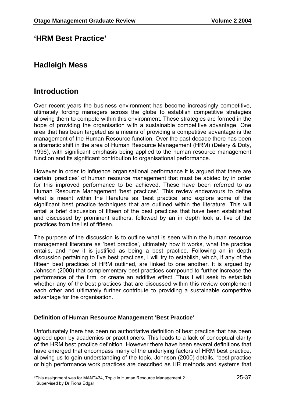### **'HRM Best Practice'**

## **Hadleigh Mess**

## **Introduction**

Over recent years the business environment has become increasingly competitive, ultimately forcing managers across the globe to establish competitive strategies allowing them to compete within this environment. These strategies are formed in the hope of providing the organisation with a sustainable competitive advantage. One area that has been targeted as a means of providing a competitive advantage is the management of the Human Resource function. Over the past decade there has been a dramatic shift in the area of Human Resource Management (HRM) (Delery & Doty, 1996), with significant emphasis being applied to the human resource management function and its significant contribution to organisational performance.

However in order to influence organisational performance it is argued that there are certain 'practices' of human resource management that must be abided by in order for this improved performance to be achieved. These have been referred to as Human Resource Management 'best practices'. This review endeavours to define what is meant within the literature as 'best practice' and explore some of the significant best practice techniques that are outlined within the literature. This will entail a brief discussion of fifteen of the best practices that have been established and discussed by prominent authors, followed by an in depth look at five of the practices from the list of fifteen.

The purpose of the discussion is to outline what is seen within the human resource management literature as 'best practice', ultimately how it works, what the practice entails, and how it is justified as being a best practice. Following an in depth discussion pertaining to five best practices, I will try to establish, which, if any of the fifteen best practices of HRM outlined, are linked to one another. It is argued by Johnson (2000) that complementary best practices compound to further increase the performance of the firm, or create an additive effect. Thus I will seek to establish whether any of the best practices that are discussed within this review complement each other and ultimately further contribute to providing a sustainable competitive advantage for the organisation.

#### **Definition of Human Resource Management 'Best Practice'**

Unfortunately there has been no authoritative definition of best practice that has been agreed upon by academics or practitioners. This leads to a lack of conceptual clarity of the HRM best practice definition. However there have been several definitions that have emerged that encompass many of the underlying factors of HRM best practice, allowing us to gain understanding of the topic. Johnson (2000) details, "best practice or high performance work practices are described as HR methods and systems that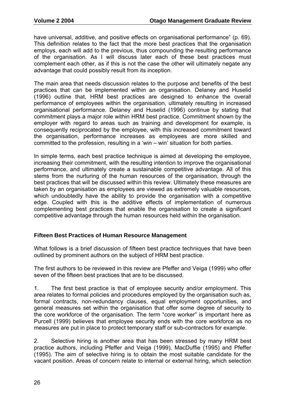have universal, additive, and positive effects on organisational performance" (p. 69). This definition relates to the fact that the more best practices that the organisation employs, each will add to the previous, thus compounding the resulting performance of the organisation. As I will discuss later each of these best practices must complement each other, as if this is not the case the other will ultimately negate any advantage that could possibly result from its inception.

The main area that needs discussion relates to the purpose and benefits of the best practices that can be implemented within an organisation. Delaney and Huselid (1996) outline that, HRM best practices are designed to enhance the overall performance of employees within the organisation, ultimately resulting in increased organisational performance. Delaney and Huselid (1996) continue by stating that commitment plays a major role within HRM best practice. Commitment shown by the employer with regard to areas such as training and development for example, is consequently reciprocated by the employee, with this increased commitment toward the organisation, performance increases as employees are more skilled and committed to the profession, resulting in a 'win – win' situation for both parties.

In simple terms, each best practice technique is aimed at developing the employee, increasing their commitment, with the resulting intention to improve the organisational performance, and ultimately create a sustainable competitive advantage. All of this stems from the nurturing of the human resources of the organisation, through the best practices that will be discussed within this review. Ultimately these measures are taken by an organisation as employees are viewed as extremely valuable resources, which undoubtedly have the ability to provide the organisation with a competitive edge. Coupled with this is the additive effects of implementation of numerous complementing best practices that enable the organisation to create a significant competitive advantage through the human resources held within the organisation.

#### **Fifteen Best Practices of Human Resource Management**

What follows is a brief discussion of fifteen best practice techniques that have been outlined by prominent authors on the subject of HRM best practice.

The first authors to be reviewed in this review are Pfeffer and Veiga (1999) who offer seven of the fifteen best practices that are to be discussed.

1. The first best practice is that of employee security and/or employment. This area relates to formal policies and procedures employed by the organisation such as, formal contracts, non-redundancy clauses, equal employment opportunities, and general measures set within the organisation that offer some degree of security to the core workforce of the organisation. The term "core worker" is important here as Purcell (1999) believes that employee security ends with the core workforce as no measures are put in place to protect temporary staff or sub-contractors for example.

2. Selective hiring is another area that has been stressed by many HRM best practice authors, including Pfeffer and Veiga (1999), MacDuffie (1995) and Pfeffer (1995). The aim of selective hiring is to obtain the most suitable candidate for the vacant position. Areas of concern relate to internal or external hiring, which selection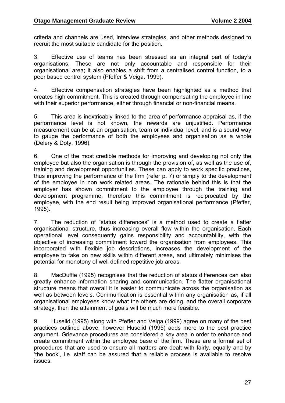criteria and channels are used, interview strategies, and other methods designed to recruit the most suitable candidate for the position.

3. Effective use of teams has been stressed as an integral part of today's organisations. These are not only accountable and responsible for their organisational area; it also enables a shift from a centralised control function, to a peer based control system (Pfeffer & Veiga, 1999).

4. Effective compensation strategies have been highlighted as a method that creates high commitment. This is created through compensating the employee in line with their superior performance, either through financial or non-financial means.

5. This area is inextricably linked to the area of performance appraisal as, if the performance level is not known, the rewards are unjustified. Performance measurement can be at an organisation, team or individual level, and is a sound way to gauge the performance of both the employees and organisation as a whole (Delery & Doty, 1996).

6. One of the most credible methods for improving and developing not only the employee but also the organisation is through the provision of, as well as the use of, training and development opportunities. These can apply to work specific practices, thus improving the performance of the firm (refer p. 7) or simply to the development of the employee in non work related areas. The rationale behind this is that the employer has shown commitment to the employee through the training and development programme, therefore this commitment is reciprocated by the employee, with the end result being improved organisational performance (Pfeffer, 1995).

7. The reduction of "status differences" is a method used to create a flatter organisational structure, thus increasing overall flow within the organisation. Each operational level consequently gains responsibility and accountability, with the objective of increasing commitment toward the organisation from employees. This incorporated with flexible job descriptions, increases the development of the employee to take on new skills within different areas, and ultimately minimises the potential for monotony of well defined repetitive job areas.

8. MacDuffie (1995) recognises that the reduction of status differences can also greatly enhance information sharing and communication. The flatter organisational structure means that overall it is easier to communicate across the organisation as well as between levels. Communication is essential within any organisation as, if all organisational employees know what the others are doing, and the overall corporate strategy, then the attainment of goals will be much more feasible.

9. Huselid (1995) along with Pfeffer and Veiga (1999) agree on many of the best practices outlined above, however Huselid (1995) adds more to the best practice argument. Grievance procedures are considered a key area in order to enhance and create commitment within the employee base of the firm. These are a formal set of procedures that are used to ensure all matters are dealt with fairly, equally and by 'the book', i.e. staff can be assured that a reliable process is available to resolve issues.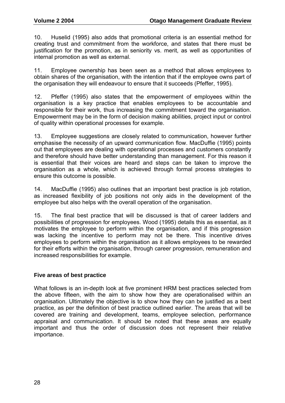10. Huselid (1995) also adds that promotional criteria is an essential method for creating trust and commitment from the workforce, and states that there must be justification for the promotion, as in seniority vs. merit, as well as opportunities of internal promotion as well as external.

11. Employee ownership has been seen as a method that allows employees to obtain shares of the organisation, with the intention that if the employee owns part of the organisation they will endeavour to ensure that it succeeds (Pfeffer, 1995).

12. Pfeffer (1995) also states that the empowerment of employees within the organisation is a key practice that enables employees to be accountable and responsible for their work, thus increasing the commitment toward the organisation. Empowerment may be in the form of decision making abilities, project input or control of quality within operational processes for example.

13. Employee suggestions are closely related to communication, however further emphasise the necessity of an upward communication flow. MacDuffie (1995) points out that employees are dealing with operational processes and customers constantly and therefore should have better understanding than management. For this reason it is essential that their voices are heard and steps can be taken to improve the organisation as a whole, which is achieved through formal process strategies to ensure this outcome is possible.

14. MacDuffie (1995) also outlines that an important best practice is job rotation, as increased flexibility of job positions not only aids in the development of the employee but also helps with the overall operation of the organisation.

15. The final best practice that will be discussed is that of career ladders and possibilities of progression for employees. Wood (1995) details this as essential, as it motivates the employee to perform within the organisation, and if this progression was lacking the incentive to perform may not be there. This incentive drives employees to perform within the organisation as it allows employees to be rewarded for their efforts within the organisation, through career progression, remuneration and increased responsibilities for example.

#### **Five areas of best practice**

What follows is an in-depth look at five prominent HRM best practices selected from the above fifteen, with the aim to show how they are operationalised within an organisation. Ultimately the objective is to show how they can be justified as a best practice, as per the definition of best practice outlined earlier. The areas that will be covered are training and development, teams, employee selection, performance appraisal and communication. It should be noted that these areas are equally important and thus the order of discussion does not represent their relative importance.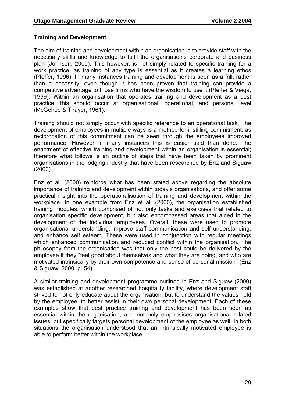#### **Training and Development**

The aim of training and development within an organisation is to provide staff with the necessary skills and knowledge to fulfil the organisation's corporate and business plan (Johnson, 2000). This however, is not simply related to specific training for a work practice, as training of any type is essential as it creates a learning ethos (Pfeffer, 1996). In many instances training and development is seen as a frill, rather than a necessity, even though it has been proven that training can provide a competitive advantage to those firms who have the wisdom to use it (Pfeffer & Veiga, 1999). Within an organisation that operates training and development as a best practice, this should occur at organisational, operational, and personal level (McGehee & Thayer, 1961).

Training should not simply occur with specific reference to an operational task. The development of employees in multiple ways is a method for instilling commitment, as reciprocation of this commitment can be seen through the employees improved performance. However in many instances this is easier said than done. The enactment of effective training and development within an organisation is essential; therefore what follows is an outline of steps that have been taken by prominent organisations in the lodging industry that have been researched by Enz and Siguaw (2000).

Enz et al. (2000) reinforce what has been stated above regarding the absolute importance of training and development within today's organisations, and offer some practical insight into the operationalisation of training and development within the workplace. In one example from Enz et al. (2000), the organisation established training modules, which comprised of not only tasks and exercises that related to organisation specific development, but also encompassed areas that aided in the development of the individual employees. Overall, these were used to promote organisational understanding, improve staff communication and self understanding, and enhance self esteem. These were used in conjunction with regular meetings which enhanced communication and reduced conflict within the organisation. The philosophy from the organisation was that only the best could be delivered by the employee if they "feel good about themselves and what they are doing, and who are motivated intrinsically by their own competence and sense of personal mission" (Enz & Siguaw, 2000, p. 54).

A similar training and development programme outlined in Enz and Siguaw (2000) was established at another researched hospitality facility, where development staff strived to not only educate about the organisation, but to understand the values held by the employee, to better assist in their own personal development. Each of these examples show that best practice training and development has been seen as essential within the organisation, and not only emphasises organisational related issues, but specifically targets personal development of the employee as well. In both situations the organisation understood that an intrinsically motivated employee is able to perform better within the workplace.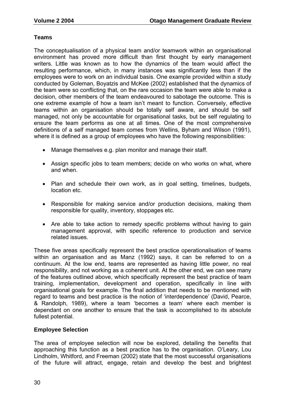#### **Teams**

The conceptualisation of a physical team and/or teamwork within an organisational environment has proved more difficult than first thought by early management writers. Little was known as to how the dynamics of the team would affect the resulting performance, which, in many instances was significantly less than if the employees were to work on an individual basis. One example provided within a study conducted by Goleman, Boyatzis and McKee (2002) established that the dynamics of the team were so conflicting that, on the rare occasion the team were able to make a decision, other members of the team endeavoured to sabotage the outcome. This is one extreme example of how a team isn't meant to function. Conversely, effective teams within an organisation should be totally self aware, and should be self managed, not only be accountable for organisational tasks, but be self regulating to ensure the team performs as one at all times. One of the most comprehensive definitions of a self managed team comes from Wellins, Byham and Wilson (1991), where it is defined as a group of employees who have the following responsibilities:

- Manage themselves e.g. plan monitor and manage their staff.
- Assign specific jobs to team members; decide on who works on what, where and when.
- Plan and schedule their own work, as in goal setting, timelines, budgets, location etc.
- Responsible for making service and/or production decisions, making them responsible for quality, inventory, stoppages etc.
- Are able to take action to remedy specific problems without having to gain management approval, with specific reference to production and service related issues.

These five areas specifically represent the best practice operationalisation of teams within an organisation and as Manz (1992) says, it can be referred to on a continuum. At the low end, teams are represented as having little power, no real responsibility, and not working as a coherent unit. At the other end, we can see many of the features outlined above, which specifically represent the best practice of team training, implementation, development and operation, specifically in line with organisational goals for example. The final addition that needs to be mentioned with regard to teams and best practice is the notion of 'interdependence' (David, Pearce, & Randolph, 1989), where a team 'becomes a team' where each member is dependant on one another to ensure that the task is accomplished to its absolute fullest potential.

#### **Employee Selection**

The area of employee selection will now be explored, detailing the benefits that approaching this function as a best practice has to the organisation. O'Leary, Lou Lindholm, Whitford, and Freeman (2002) state that the most successful organisations of the future will attract, engage, retain and develop the best and brightest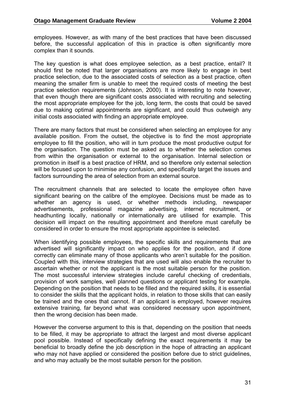employees. However, as with many of the best practices that have been discussed before, the successful application of this in practice is often significantly more complex than it sounds.

The key question is what does employee selection, as a best practice, entail? It should first be noted that larger organisations are more likely to engage in best practice selection, due to the associated costs of selection as a best practice, often meaning the smaller firm is unable to meet the required costs of meeting the best practice selection requirements (Johnson, 2000). It is interesting to note however, that even though there are significant costs associated with recruiting and selecting the most appropriate employee for the job, long term, the costs that could be saved due to making optimal appointments are significant, and could thus outweigh any initial costs associated with finding an appropriate employee.

There are many factors that must be considered when selecting an employee for any available position. From the outset, the objective is to find the most appropriate employee to fill the position, who will in turn produce the most productive output for the organisation. The question must be asked as to whether the selection comes from within the organisation or external to the organisation. Internal selection or promotion in itself is a best practice of HRM, and so therefore only external selection will be focused upon to minimise any confusion, and specifically target the issues and factors surrounding the area of selection from an external source.

The recruitment channels that are selected to locate the employee often have significant bearing on the calibre of the employee. Decisions must be made as to whether an agency is used, or whether methods including, newspaper advertisements, professional magazine advertising, internet recruitment, or headhunting locally, nationally or internationally are utilised for example. This decision will impact on the resulting appointment and therefore must carefully be considered in order to ensure the most appropriate appointee is selected.

When identifying possible employees, the specific skills and requirements that are advertised will significantly impact on who applies for the position, and if done correctly can eliminate many of those applicants who aren't suitable for the position. Coupled with this, interview strategies that are used will also enable the recruiter to ascertain whether or not the applicant is the most suitable person for the position. The most successful interview strategies include careful checking of credentials, provision of work samples, well planned questions or applicant testing for example. Depending on the position that needs to be filled and the required skills, it is essential to consider the skills that the applicant holds, in relation to those skills that can easily be trained and the ones that cannot. If an applicant is employed, however requires extensive training, far beyond what was considered necessary upon appointment, then the wrong decision has been made.

However the converse argument to this is that, depending on the position that needs to be filled, it may be appropriate to attract the largest and most diverse applicant pool possible. Instead of specifically defining the exact requirements it may be beneficial to broadly define the job description in the hope of attracting an applicant who may not have applied or considered the position before due to strict quidelines, and who may actually be the most suitable person for the position.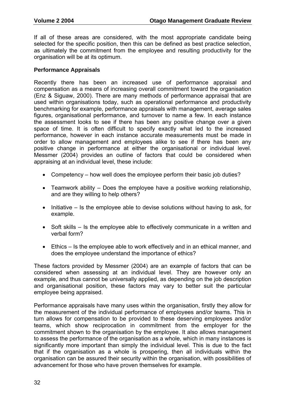If all of these areas are considered, with the most appropriate candidate being selected for the specific position, then this can be defined as best practice selection, as ultimately the commitment from the employee and resulting productivity for the organisation will be at its optimum.

#### **Performance Appraisals**

Recently there has been an increased use of performance appraisal and compensation as a means of increasing overall commitment toward the organisation (Enz & Siguaw, 2000). There are many methods of performance appraisal that are used within organisations today, such as operational performance and productivity benchmarking for example, performance appraisals with management, average sales figures, organisational performance, and turnover to name a few. In each instance the assessment looks to see if there has been any positive change over a given space of time. It is often difficult to specify exactly what led to the increased performance, however in each instance accurate measurements must be made in order to allow management and employees alike to see if there has been any positive change in performance at either the organisational or individual level. Messmer (2004) provides an outline of factors that could be considered when appraising at an individual level, these include:

- Competency how well does the employee perform their basic job duties?
- Teamwork ability Does the employee have a positive working relationship, and are they willing to help others?
- Initiative Is the employee able to devise solutions without having to ask, for example.
- Soft skills Is the employee able to effectively communicate in a written and verbal form?
- Ethics Is the employee able to work effectively and in an ethical manner, and does the employee understand the importance of ethics?

These factors provided by Messmer (2004) are an example of factors that can be considered when assessing at an individual level. They are however only an example, and thus cannot be universally applied, as depending on the job description and organisational position, these factors may vary to better suit the particular employee being appraised.

Performance appraisals have many uses within the organisation, firstly they allow for the measurement of the individual performance of employees and/or teams. This in turn allows for compensation to be provided to these deserving employees and/or teams, which show reciprocation in commitment from the employer for the commitment shown to the organisation by the employee. It also allows management to assess the performance of the organisation as a whole, which in many instances is significantly more important than simply the individual level. This is due to the fact that if the organisation as a whole is prospering, then all individuals within the organisation can be assured their security within the organisation, with possibilities of advancement for those who have proven themselves for example.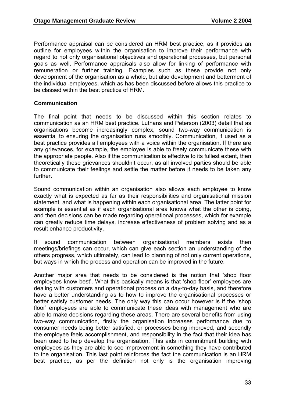Performance appraisal can be considered an HRM best practice, as it provides an outline for employees within the organisation to improve their performance with regard to not only organisational objectives and operational processes, but personal goals as well. Performance appraisals also allow for linking of performance with remuneration or further training. Examples such as these provide not only development of the organisation as a whole, but also development and betterment of the individual employees, which as has been discussed before allows this practice to be classed within the best practice of HRM.

### **Communication**

The final point that needs to be discussed within this section relates to communication as an HRM best practice. Luthans and Peterson (2003) detail that as organisations become increasingly complex, sound two-way communication is essential to ensuring the organisation runs smoothly. Communication, if used as a best practice provides all employees with a voice within the organisation. If there are any grievances, for example, the employee is able to freely communicate these with the appropriate people. Also if the communication is effective to its fullest extent, then theoretically these grievances shouldn't occur, as all involved parties should be able to communicate their feelings and settle the matter before it needs to be taken any further.

Sound communication within an organisation also allows each employee to know exactly what is expected as far as their responsibilities and organisational mission statement, and what is happening within each organisational area. The latter point for example is essential as if each organisational area knows what the other is doing, and then decisions can be made regarding operational processes, which for example can greatly reduce time delays, increase effectiveness of problem solving and as a result enhance productivity.

If sound communication between organisational members exists then meetings/briefings can occur, which can give each section an understanding of the others progress, which ultimately, can lead to planning of not only current operations, but ways in which the process and operation can be improved in the future.

Another major area that needs to be considered is the notion that 'shop floor employees know best'. What this basically means is that 'shop floor' employees are dealing with customers and operational process on a day-to-day basis, and therefore have a better understanding as to how to improve the organisational processes or better satisfy customer needs. The only way this can occur however is if the 'shop floor' employees are able to communicate these ideas with management who are able to make decisions regarding these areas. There are several benefits from using two-way communication, firstly the organisation increases performance due to consumer needs being better satisfied, or processes being improved, and secondly the employee feels accomplishment, and responsibility in the fact that their idea has been used to help develop the organisation. This aids in commitment building with employees as they are able to see improvement in something they have contributed to the organisation. This last point reinforces the fact the communication is an HRM best practice, as per the definition not only is the organisation improving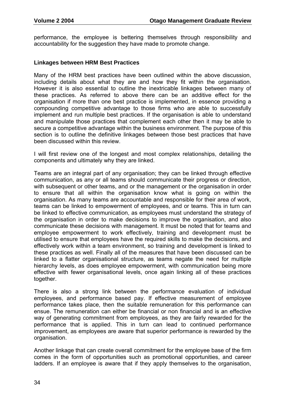performance, the employee is bettering themselves through responsibility and accountability for the suggestion they have made to promote change.

#### **Linkages between HRM Best Practices**

Many of the HRM best practices have been outlined within the above discussion, including details about what they are and how they fit within the organisation. However it is also essential to outline the inextricable linkages between many of these practices. As referred to above there can be an additive effect for the organisation if more than one best practice is implemented, in essence providing a compounding competitive advantage to those firms who are able to successfully implement and run multiple best practices. If the organisation is able to understand and manipulate those practices that complement each other then it may be able to secure a competitive advantage within the business environment. The purpose of this section is to outline the definitive linkages between those best practices that have been discussed within this review.

I will first review one of the longest and most complex relationships, detailing the components and ultimately why they are linked.

Teams are an integral part of any organisation; they can be linked through effective communication, as any or all teams should communicate their progress or direction, with subsequent or other teams, and or the management or the organisation in order to ensure that all within the organisation know what is going on within the organisation. As many teams are accountable and responsible for their area of work, teams can be linked to empowerment of employees, and or teams. This in turn can be linked to effective communication, as employees must understand the strategy of the organisation in order to make decisions to improve the organisation, and also communicate these decisions with management. It must be noted that for teams and employee empowerment to work effectively, training and development must be utilised to ensure that employees have the required skills to make the decisions, and effectively work within a team environment, so training and development is linked to these practices as well. Finally all of the measures that have been discussed can be linked to a flatter organisational structure, as teams negate the need for multiple hierarchy levels, as does employee empowerment, with communication being more effective with fewer organisational levels, once again linking all of these practices together.

There is also a strong link between the performance evaluation of individual employees, and performance based pay. If effective measurement of employee performance takes place, then the suitable remuneration for this performance can ensue. The remuneration can either be financial or non financial and is an effective way of generating commitment from employees, as they are fairly rewarded for the performance that is applied. This in turn can lead to continued performance improvement, as employees are aware that superior performance is rewarded by the organisation.

Another linkage that can create overall commitment for the employee base of the firm comes in the form of opportunities such as promotional opportunities, and career ladders. If an employee is aware that if they apply themselves to the organisation,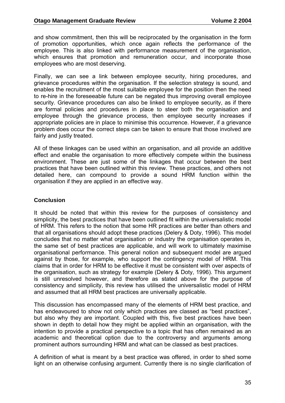and show commitment, then this will be reciprocated by the organisation in the form of promotion opportunities, which once again reflects the performance of the employee. This is also linked with performance measurement of the organisation, which ensures that promotion and remuneration occur, and incorporate those employees who are most deserving.

Finally, we can see a link between employee security, hiring procedures, and grievance procedures within the organisation. If the selection strategy is sound, and enables the recruitment of the most suitable employee for the position then the need to re-hire in the foreseeable future can be negated thus improving overall employee security. Grievance procedures can also be linked to employee security, as if there are formal policies and procedures in place to steer both the organisation and employee through the grievance process, then employee security increases if appropriate policies are in place to minimise this occurrence. However, if a grievance problem does occur the correct steps can be taken to ensure that those involved are fairly and justly treated.

All of these linkages can be used within an organisation, and all provide an additive effect and enable the organisation to more effectively compete within the business environment. These are just some of the linkages that occur between the best practices that have been outlined within this review. These practices, and others not detailed here, can compound to provide a sound HRM function within the organisation if they are applied in an effective way.

### **Conclusion**

It should be noted that within this review for the purposes of consistency and simplicity, the best practices that have been outlined fit within the universalistic model of HRM. This refers to the notion that some HR practices are better than others and that all organisations should adopt these practices (Delery & Doty, 1996). This model concludes that no matter what organisation or industry the organisation operates in, the same set of best practices are applicable, and will work to ultimately maximise organisational performance. This general notion and subsequent model are argued against by those, for example, who support the contingency model of HRM. This claims that in order for HRM to be effective it must be consistent with over aspects of the organisation, such as strategy for example (Delery & Doty, 1996). This argument is still unresolved however, and therefore as stated above for the purpose of consistency and simplicity, this review has utilised the universalistic model of HRM and assumed that all HRM best practices are universally applicable.

This discussion has encompassed many of the elements of HRM best practice, and has endeavoured to show not only which practices are classed as "best practices", but also why they are important. Coupled with this, five best practices have been shown in depth to detail how they might be applied within an organisation, with the intention to provide a practical perspective to a topic that has often remained as an academic and theoretical option due to the controversy and arguments among prominent authors surrounding HRM and what can be classed as best practices.

A definition of what is meant by a best practice was offered, in order to shed some light on an otherwise confusing argument. Currently there is no single clarification of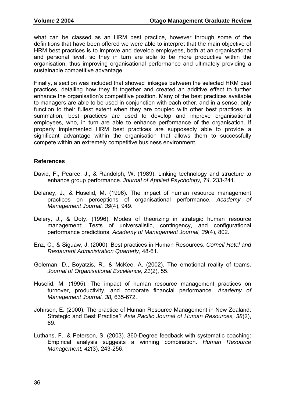what can be classed as an HRM best practice, however through some of the definitions that have been offered we were able to interpret that the main objective of HRM best practices is to improve and develop employees, both at an organisational and personal level, so they in turn are able to be more productive within the organisation, thus improving organisational performance and ultimately providing a sustainable competitive advantage.

Finally, a section was included that showed linkages between the selected HRM best practices, detailing how they fit together and created an additive effect to further enhance the organisation's competitive position. Many of the best practices available to managers are able to be used in conjunction with each other, and in a sense, only function to their fullest extent when they are coupled with other best practices. In summation, best practices are used to develop and improve organisational employees, who, in turn are able to enhance performance of the organisation. If properly implemented HRM best practices are supposedly able to provide a significant advantage within the organisation that allows them to successfully compete within an extremely competitive business environment.

### **References**

- David, F., Pearce, J., & Randolph, W. (1989). Linking technology and structure to enhance group performance. *Journal of Applied Psychology, 74,* 233-241.
- Delaney, J., & Huselid, M. (1996). The impact of human resource management practices on perceptions of organisational performance. *Academy of Management Journal, 39*(4), 949.
- Delery, J., & Doty. (1996). Modes of theorizing in strategic human resource management: Tests of universalistic, contingency, and configurational performance predictions. *Academy of Management Journal, 39*(4), 802.
- Enz, C., & Siguaw, J. (2000). Best practices in Human Resources. *Cornell Hotel and Restaurant Administration Quarterly*, 48-61.
- Goleman, D., Boyatzis, R., & McKee, A. (2002). The emotional reality of teams. *Journal of Organisational Excellence, 21*(2), 55.
- Huselid, M. (1995). The impact of human resource management practices on turnover, productivity, and corporate financial performance. *Academy of Management Journal, 38,* 635-672.
- Johnson, E. (2000). The practice of Human Resource Management in New Zealand: Strategic and Best Practice? *Asia Pacific Journal of Human Resources, 38*(2), 69.
- Luthans, F., & Peterson, S. (2003). 360-Degree feedback with systematic coaching: Empirical analysis suggests a winning combination. *Human Resource Management, 42*(3), 243-256.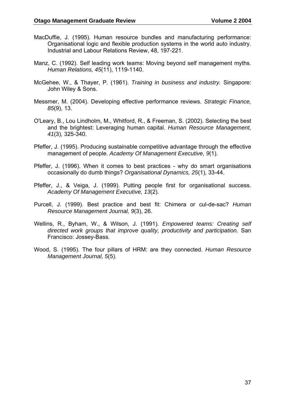- MacDuffie, J. (1995). Human resource bundles and manufacturing performance: Organisational logic and flexible production systems in the world auto industry. Industrial and Labour Relations Review, 48, 197-221.
- Manz, C. (1992). Self leading work teams: Moving beyond self management myths. *Human Relations, 45*(11), 1119-1140.
- McGehee, W., & Thayer, P. (1961). *Training in business and industry.* Singapore: John Wiley & Sons.
- Messmer, M. (2004). Developing effective performance reviews. *Strategic Finance, 85*(9), 13.
- O'Leary, B., Lou Lindholm, M., Whitford, R., & Freeman, S. (2002). Selecting the best and the brightest: Leveraging human capital. *Human Resource Management, 41*(3), 325-340.
- Pfeffer, J. (1995). Producing sustainable competitive advantage through the effective management of people. *Academy Of Management Executive, 9*(1).
- Pfeffer, J. (1996). When it comes to best practices why do smart organisations occasionally do dumb things? *Organisational Dynamics, 25*(1), 33-44.
- Pfeffer, J., & Veiga, J. (1999). Putting people first for organisational success. *Academy Of Management Executive, 13*(2).
- Purcell, J. (1999). Best practice and best fit: Chimera or cul-de-sac? *Human Resource Management Journal, 9*(3), 26.
- Wellins, R., Byham, W., & Wilson, J. (1991). *Empowered teams: Creating self directed work groups that improve quality, productivity and participation.* San Francisco: Jossey-Bass.
- Wood, S. (1995). The four pillars of HRM: are they connected. *Human Resource Management Journal, 5*(5).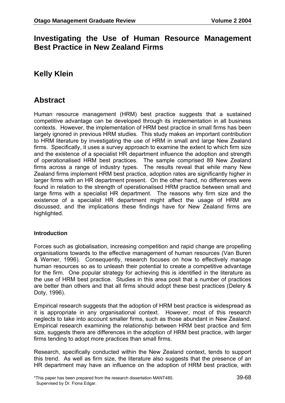## **Investigating the Use of Human Resource Management Best Practice in New Zealand Firms**

# **Kelly Klein**

## **Abstract**

Human resource management (HRM) best practice suggests that a sustained competitive advantage can be developed through its implementation in all business contexts. However, the implementation of HRM best practice in small firms has been largely ignored in previous HRM studies. This study makes an important contribution to HRM literature by investigating the use of HRM in small and large New Zealand firms. Specifically, it uses a survey approach to examine the extent to which firm size and the existence of a specialist HR department influence the adoption and strength of operationalised HRM best practices. The sample comprised 89 New Zealand firms across a range of industry types. The results reveal that while many New Zealand firms implement HRM best practice, adoption rates are significantly higher in larger firms with an HR department present. On the other hand, no differences were found in relation to the strength of operationalised HRM practice between small and large firms with a specialist HR department. The reasons why firm size and the existence of a specialist HR department might affect the usage of HRM are discussed, and the implications these findings have for New Zealand firms are highlighted.

### **Introduction**

Forces such as globalisation, increasing competition and rapid change are propelling organisations towards to the effective management of human resources (Van Buren & Werner, 1996). Consequently, research focuses on how to effectively manage human resources so as to unleash their potential to create a competitive advantage for the firm. One popular strategy for achieving this is identified in the literature as the use of HRM best practice. Studies in this area posit that a number of practices are better than others and that all firms should adopt these best practices (Delery & Doty, 1996).

Empirical research suggests that the adoption of HRM best practice is widespread as it is appropriate in any organisational context. However, most of this research neglects to take into account smaller firms, such as those abundant in New Zealand. Empirical research examining the relationship between HRM best practice and firm size, suggests there are differences in the adoption of HRM best practice, with larger firms tending to adopt more practices than small firms.

Research, specifically conducted within the New Zealand context, tends to support this trend. As well as firm size, the literature also suggests that the presence of an HR department may have an influence on the adoption of HRM best practice, with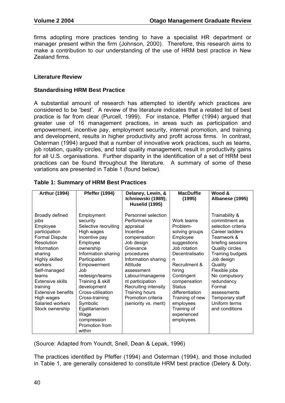firms adopting more practices tending to have a specialist HR department or manager present within the firm (Johnson, 2000). Therefore, this research aims to make a contribution to our understanding of the use of HRM best practice in New Zealand firms.

### **Literature Review**

### **Standardising HRM Best Practice**

A substantial amount of research has attempted to identify which practices are considered to be 'best'. A review of the literature indicates that a related list of best practice is far from clear (Purcell, 1999). For instance, Pfeffer (1994) argued that greater use of 16 management practices, in areas such as participation and empowerment, incentive pay, employment security, internal promotion, and training and development, results in higher productivity and profit across firms. In contrast, Osterman (1994) argued that a number of innovative work practices, such as teams, job rotation, quality circles, and total quality management, result in productivity gains for all U.S. organisations. Further disparity in the identification of a set of HRM best practices can be found throughout the literature. A summary of some of these variations are presented in Table 1 (found below).

| <b>Arthur (1994)</b>                                                                                                                                                                                                                                                                                 | <b>Pfeffer (1994)</b>                                                                                                                                                                                                                                                                                                                             | Delaney, Lewin, &<br>Ichniowski (1989);                                                                                                                                                                                                                                                                | <b>MacDuffie</b><br>(1995)                                                                                                                                                                                                                                                          | Wood &<br>Albanese (1995)                                                                                                                                                                                                                                                                                        |
|------------------------------------------------------------------------------------------------------------------------------------------------------------------------------------------------------------------------------------------------------------------------------------------------------|---------------------------------------------------------------------------------------------------------------------------------------------------------------------------------------------------------------------------------------------------------------------------------------------------------------------------------------------------|--------------------------------------------------------------------------------------------------------------------------------------------------------------------------------------------------------------------------------------------------------------------------------------------------------|-------------------------------------------------------------------------------------------------------------------------------------------------------------------------------------------------------------------------------------------------------------------------------------|------------------------------------------------------------------------------------------------------------------------------------------------------------------------------------------------------------------------------------------------------------------------------------------------------------------|
|                                                                                                                                                                                                                                                                                                      |                                                                                                                                                                                                                                                                                                                                                   | <b>Huselid (1995)</b>                                                                                                                                                                                                                                                                                  |                                                                                                                                                                                                                                                                                     |                                                                                                                                                                                                                                                                                                                  |
| Broadly defined<br>jobs<br>Employee<br>participation<br><b>Formal Dispute</b><br>Resolution<br>Information<br>sharing<br>Highly skilled<br>workers<br>Self-managed<br>teams<br><b>Extensive skills</b><br>training<br><b>Extensive benefits</b><br>High wages<br>Salaried workers<br>Stock ownership | Employment<br>security<br>Selective recruiting<br>High wages<br>Incentive pay<br>Employee<br>ownership<br>Information sharing<br>Participation<br>Empowerment<br>Job<br>redesign/teams<br>Training & skill<br>development<br>Cross-utilisation<br>Cross-training<br>Symbolic<br>Egalitarianism<br>Wage<br>compression<br>Promotion from<br>within | Personnel selection<br>Performance<br>appraisal<br>Incentive<br>compensation<br>Job design<br>Grievance<br>procedures<br>Information sharing<br>Attitude<br>assessment<br>Labour/manageme<br>nt participation<br>Recruiting intensity<br>Training hours<br>Promotion criteria<br>(seniority vs. merit) | Work teams<br>Problem-<br>solving groups<br>Employee<br>suggestions<br>Job rotation<br>Decentralisatio<br>n<br>Recruitment &<br>hiring<br>Contingent<br>compensation<br><b>Status</b><br>differentiation<br>Training of new<br>employees<br>Training of<br>experienced<br>employees | Trainability &<br>commitment as<br>selection criteria<br>Career ladders<br>Teamwork &<br>briefing sessions<br><b>Quality circles</b><br>Training budgets<br>Job design<br>Quality<br>Flexible jobs<br>No compulsory<br>redundancy<br>Formal<br>assessments<br>Temporary staff<br>Uniform terms<br>and conditions |

**Table 1: Summary of HRM Best Practices** 

(Source: Adapted from Youndt, Snell, Dean & Lepak, 1996)

The practices identified by Pfeffer (1994) and Osterman (1994), and those included in Table 1, are generally considered to constitute HRM best practice (Delery & Doty,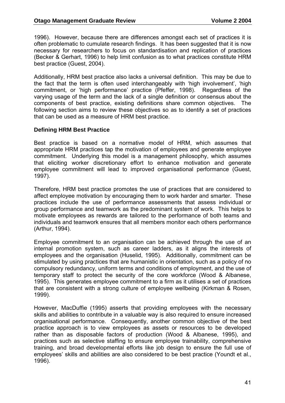1996). However, because there are differences amongst each set of practices it is often problematic to cumulate research findings. It has been suggested that it is now necessary for researchers to focus on standardisation and replication of practices (Becker & Gerhart, 1996) to help limit confusion as to what practices constitute HRM best practice (Guest, 2004).

Additionally, HRM best practice also lacks a universal definition. This may be due to the fact that the term is often used interchangeably with 'high involvement', 'high commitment, or 'high performance' practice (Pfeffer, 1998). Regardless of the varying usage of the term and the lack of a single definition or consensus about the components of best practice, existing definitions share common objectives. The following section aims to review these objectives so as to identify a set of practices that can be used as a measure of HRM best practice.

#### **Defining HRM Best Practice**

Best practice is based on a normative model of HRM, which assumes that appropriate HRM practices tap the motivation of employees and generate employee commitment. Underlying this model is a management philosophy, which assumes that eliciting worker discretionary effort to enhance motivation and generate employee commitment will lead to improved organisational performance (Guest, 1997).

Therefore, HRM best practice promotes the use of practices that are considered to affect employee motivation by encouraging them to work harder and smarter. These practices include the use of performance assessments that assess individual or group performance and teamwork as the predominant system of work. This helps to motivate employees as rewards are tailored to the performance of both teams and individuals and teamwork ensures that all members monitor each others performance (Arthur, 1994).

Employee commitment to an organisation can be achieved through the use of an internal promotion system, such as career ladders, as it aligns the interests of employees and the organisation (Huselid, 1995). Additionally, commitment can be stimulated by using practices that are humanistic in orientation, such as a policy of no compulsory redundancy, uniform terms and conditions of employment, and the use of temporary staff to protect the security of the core workforce (Wood & Albanese, 1995). This generates employee commitment to a firm as it utilises a set of practices that are consistent with a strong culture of employee wellbeing (Kirkman & Rosen, 1999).

However, MacDuffie (1995) asserts that providing employees with the necessary skills and abilities to contribute in a valuable way is also required to ensure increased organisational performance. Consequently, another common objective of the best practice approach is to view employees as assets or resources to be developed rather than as disposable factors of production (Wood & Albanese, 1995), and practices such as selective staffing to ensure employee trainability, comprehensive training, and broad developmental efforts like job design to ensure the full use of employees' skills and abilities are also considered to be best practice (Youndt et al., 1996).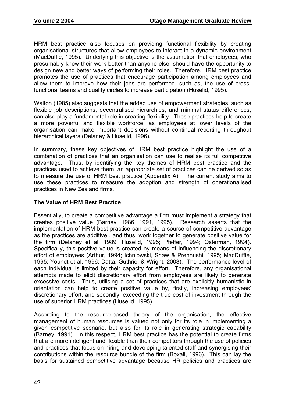HRM best practice also focuses on providing functional flexibility by creating organisational structures that allow employees to interact in a dynamic environment (MacDuffie, 1995). Underlying this objective is the assumption that employees, who presumably know their work better than anyone else, should have the opportunity to design new and better ways of performing their roles. Therefore, HRM best practice promotes the use of practices that encourage participation among employees and allow them to improve how their jobs are performed, such as, the use of crossfunctional teams and quality circles to increase participation (Huselid, 1995).

Walton (1985) also suggests that the added use of empowerment strategies, such as flexible job descriptions, decentralised hierarchies, and minimal status differences, can also play a fundamental role in creating flexibility. These practices help to create a more powerful and flexible workforce, as employees at lower levels of the organisation can make important decisions without continual reporting throughout hierarchical layers (Delaney & Huselid, 1996).

In summary, these key objectives of HRM best practice highlight the use of a combination of practices that an organisation can use to realise its full competitive advantage. Thus, by identifying the key themes of HRM best practice and the practices used to achieve them, an appropriate set of practices can be derived so as to measure the use of HRM best practice (Appendix A). The current study aims to use these practices to measure the adoption and strength of operationalised practices in New Zealand firms.

### **The Value of HRM Best Practice**

Essentially, to create a competitive advantage a firm must implement a strategy that creates positive value (Barney, 1986, 1991, 1995). Research asserts that the implementation of HRM best practice can create a source of competitive advantage as the practices are additive , and thus, work together to generate positive value for the firm (Delaney et al, 1989; Huselid, 1995; Pfeffer, 1994; Osterman, 1994). Specifically, this positive value is created by means of influencing the discretionary effort of employees (Arthur, 1994; Ichniowski, Shaw & Prennushi, 1995; MacDuffie, 1995; Youndt et al, 1996; Datta, Guthrie, & Wright, 2003). The performance level of each individual is limited by their capacity for effort. Therefore, any organisational attempts made to elicit discretionary effort from employees are likely to generate excessive costs. Thus, utilising a set of practices that are explicitly humanistic in orientation can help to create positive value by, firstly, increasing employees' discretionary effort, and secondly, exceeding the true cost of investment through the use of superior HRM practices (Huselid, 1995).

According to the resource-based theory of the organisation, the effective management of human resources is valued not only for its role in implementing a given competitive scenario, but also for its role in generating strategic capability (Barney, 1991). In this respect, HRM best practice has the potential to create firms that are more intelligent and flexible than their competitors through the use of policies and practices that focus on hiring and developing talented staff and synergising their contributions within the resource bundle of the firm (Boxall, 1996). This can lay the basis for sustained competitive advantage because HR policies and practices are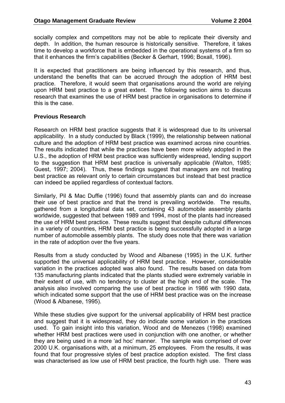socially complex and competitors may not be able to replicate their diversity and depth. In addition, the human resource is historically sensitive. Therefore, it takes time to develop a workforce that is embedded in the operational systems of a firm so that it enhances the firm's capabilities (Becker & Gerhart, 1996; Boxall, 1996).

It is expected that practitioners are being influenced by this research, and thus, understand the benefits that can be accrued through the adoption of HRM best practice. Therefore, it would seem that organisations around the world are relying upon HRM best practice to a great extent. The following section aims to discuss research that examines the use of HRM best practice in organisations to determine if this is the case.

### **Previous Research**

Research on HRM best practice suggests that it is widespread due to its universal applicability. In a study conducted by Black (1999), the relationship between national culture and the adoption of HRM best practice was examined across nine countries. The results indicated that while the practices have been more widely adopted in the U.S., the adoption of HRM best practice was sufficiently widespread, lending support to the suggestion that HRM best practice is universally applicable (Walton, 1985; Guest, 1997; 2004). Thus, these findings suggest that managers are not treating best practice as relevant only to certain circumstances but instead that best practice can indeed be applied regardless of contextual factors.

Similarly, Pil & Mac Duffie (1996) found that assembly plants can and do increase their use of best practice and that the trend is prevailing worldwide. The results, gathered from a longitudinal data set, containing 43 automobile assembly plants worldwide, suggested that between 1989 and 1994, most of the plants had increased the use of HRM best practice. These results suggest that despite cultural differences in a variety of countries, HRM best practice is being successfully adopted in a large number of automobile assembly plants. The study does note that there was variation in the rate of adoption over the five years.

Results from a study conducted by Wood and Albanese (1995) in the U.K. further supported the universal applicability of HRM best practice. However, considerable variation in the practices adopted was also found. The results based on data from 135 manufacturing plants indicated that the plants studied were extremely variable in their extent of use, with no tendency to cluster at the high end of the scale. The analysis also involved comparing the use of best practice in 1986 with 1990 data, which indicated some support that the use of HRM best practice was on the increase (Wood & Albanese, 1995).

While these studies give support for the universal applicability of HRM best practice and suggest that it is widespread, they do indicate some variation in the practices used. To gain insight into this variation, Wood and de Menezes (1998) examined whether HRM best practices were used in conjunction with one another, or whether they are being used in a more 'ad hoc' manner. The sample was comprised of over 2000 U.K. organisations with, at a minimum, 25 employees. From the results, it was found that four progressive styles of best practice adoption existed. The first class was characterised as low use of HRM best practice, the fourth high use. There was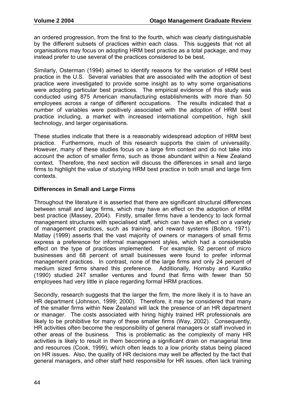an ordered progression, from the first to the fourth, which was clearly distinguishable by the different subsets of practices within each class. This suggests that not all organisations may focus on adopting HRM best practice as a total package, and may instead prefer to use several of the practices considered to be best.

Similarly, Osterman (1994) aimed to identify reasons for the variation of HRM best practice in the U.S. Several variables that are associated with the adoption of best practice were investigated to provide some insight as to why some organisations were adopting particular best practices. The empirical evidence of this study was conducted using 875 American manufacturing establishments with more than 50 employees across a range of different occupations. The results indicated that a number of variables were positively associated with the adoption of HRM best practice including, a market with increased international competition, high skill technology, and larger organisations.

These studies indicate that there is a reasonably widespread adoption of HRM best practice. Furthermore, much of this research supports the claim of universality. However, many of these studies focus on a large firm context and do not take into account the action of smaller firms, such as those abundant within a New Zealand context. Therefore, the next section will discuss the differences in small and large firms to highlight the value of studying HRM best practice in both small and large firm contexts.

### **Differences in Small and Large Firms**

Throughout the literature it is asserted that there are significant structural differences between small and large firms, which may have an effect on the adoption of HRM best practice (Massey, 2004). Firstly, smaller firms have a tendency to lack formal management structures with specialised staff, which can have an effect on a variety of management practices, such as training and reward systems (Bolton, 1971). Matlay (1999) asserts that the vast majority of owners or managers of small firms express a preference for informal management styles, which had a considerable effect on the type of practices implemented. For example, 92 percent of micro businesses and 68 percent of small businesses were found to prefer informal management practices. In contrast, none of the large firms and only 24 percent of medium sized firms shared this preference. Additionally, Hornsby and Kuratko (1990) studied 247 smaller ventures and found that firms with fewer than 50 employees had very little in place regarding formal HRM practices.

Secondly, research suggests that the larger the firm, the more likely it is to have an HR department (Johnson, 1999; 2000). Therefore, it may be considered that many of the smaller firms within New Zealand will lack the presence of an HR department or manager. The costs associated with hiring highly trained HR professionals are likely to be prohibitive for many of these smaller firms (Way, 2002). Consequently, HR activities often become the responsibility of general managers or staff involved in other areas of the business. This is problematic as the complexity of many HR activities is likely to result in them becoming a significant drain on managerial time and resources (Cook, 1999), which often leads to a low priority status being placed on HR issues. Also, the quality of HR decisions may well be affected by the fact that general managers, and other staff held responsible for HR issues, often lack training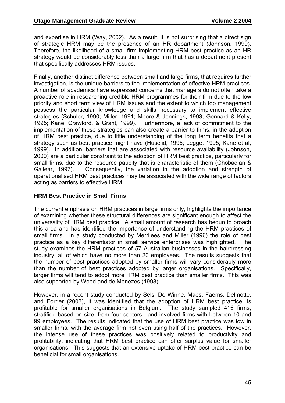and expertise in HRM (Way, 2002). As a result, it is not surprising that a direct sign of strategic HRM may be the presence of an HR department (Johnson, 1999). Therefore, the likelihood of a small firm implementing HRM best practice as an HR strategy would be considerably less than a large firm that has a department present that specifically addresses HRM issues.

Finally, another distinct difference between small and large firms, that requires further investigation, is the unique barriers to the implementation of effective HRM practices. A number of academics have expressed concerns that managers do not often take a proactive role in researching credible HRM programmes for their firm due to the low priority and short term view of HRM issues and the extent to which top management possess the particular knowledge and skills necessary to implement effective strategies (Schuler, 1990; Miller, 1991; Moore & Jennings, 1993; Gennard & Kelly, 1995; Kane, Crawford, & Grant, 1999). Furthermore, a lack of commitment to the implementation of these strategies can also create a barrier to firms, in the adoption of HRM best practice, due to little understanding of the long term benefits that a strategy such as best practice might have (Huselid, 1995; Legge, 1995; Kane et al, 1999). In addition, barriers that are associated with resource availability (Johnson, 2000) are a particular constraint to the adoption of HRM best practice, particularly for small firms, due to the resource paucity that is characteristic of them (Ghobadian & Gallear, 1997). Consequently, the variation in the adoption and strength of operationalised HRM best practices may be associated with the wide range of factors acting as barriers to effective HRM.

### **HRM Best Practice in Small Firms**

The current emphasis on HRM practices in large firms only, highlights the importance of examining whether these structural differences are significant enough to affect the universality of HRM best practice. A small amount of research has begun to broach this area and has identified the importance of understanding the HRM practices of small firms. In a study conducted by Merrilees and Miller (1996) the role of best practice as a key differentiator in small service enterprises was highlighted. The study examines the HRM practices of 57 Australian businesses in the hairdressing industry, all of which have no more than 20 employees. The results suggests that the number of best practices adopted by smaller firms will vary considerably more than the number of best practices adopted by larger organisations. Specifically, larger firms will tend to adopt more HRM best practice than smaller firms. This was also supported by Wood and de Menezes (1998).

However, in a recent study conducted by Sels, De Winne, Maes, Faems, Delmotte, and Forrier (2003), it was identified that the adoption of HRM best practice, is profitable for smaller organisations in Belgium. The study sampled 416 firms, stratified based on size, from four sectors , and involved firms with between 10 and 99 employees. The results indicated that the use of HRM best practice was low in smaller firms, with the average firm not even using half of the practices. However, the intense use of these practices was positively related to productivity and profitability, indicating that HRM best practice can offer surplus value for smaller organisations. This suggests that an extensive uptake of HRM best practice can be beneficial for small organisations.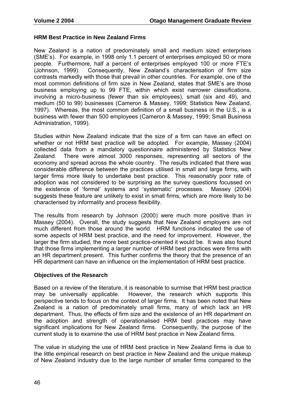### **HRM Best Practice in New Zealand Firms**

New Zealand is a nation of predominately small and medium sized enterprises (SME's). For example, in 1998 only 1.1 percent of enterprises employed 50 or more people. Furthermore, half a percent of enterprises employed 100 or more FTE's (Johnson, 1999). Consequently, New Zealand's characterisation of firm size contrasts markedly with those that prevail in other countries. For example, one of the most common definitions of firm size in New Zealand, states that SME's are those business employing up to 99 FTE, within which exist narrower classifications, involving a micro-business (fewer than six employees), small (six and 49), and medium (50 to 99) businesses (Cameron & Massey, 1999; Statistics New Zealand, 1997). Whereas, the most common definition of a small business in the U.S., is a business with fewer than 500 employees (Cameron & Massey, 1999; Small Business Administration, 1999).

Studies within New Zealand indicate that the size of a firm can have an effect on whether or not HRM best practice will be adopted. For example, Massey (2004) collected data from a mandatory questionnaire administered by Statistics New Zealand. There were almost 3000 responses, representing all sectors of the economy and spread across the whole country. The results indicated that there was considerable difference between the practices utilised in small and large firms, with larger firms more likely to undertake best practice. This reasonably poor rate of adoption was not considered to be surprising as the survey questions focussed on the existence of 'formal' systems and 'systematic' processes. Massey (2004) suggests these feature are unlikely to exist in small firms, which are more likely to be characterised by informality and process flexibility.

The results from research by Johnson (2000) were much more positive than in Massey (2004). Overall, the study suggests that New Zealand employers are not much different from those around the world. HRM functions indicated the use of some aspects of HRM best practice, and the need for improvement. However, the larger the firm studied, the more best practice-oriented it would be. It was also found that those firms implementing a larger number of HRM best practices were firms with an HR department present. This further confirms the theory that the presence of an HR department can have an influence on the implementation of HRM best practice.

#### **Objectives of the Research**

Based on a review of the literature, it is reasonable to surmise that HRM best practice may be universally applicable. However, the research which supports this perspective tends to focus on the context of larger firms. It has been noted that New Zealand is a nation of predominately small firms, many of which lack an HR department. Thus, the effects of firm size and the existence of an HR department on the adoption and strength of operationalised HRM best practices may have significant implications for New Zealand firms. Consequently, the purpose of the current study is to examine the use of HRM best practice in New Zealand firms.

The value in studying the use of HRM best practice in New Zealand firms is due to the little empirical research on best practice in New Zealand and the unique makeup of New Zealand industry due to the large number of smaller firms compared to the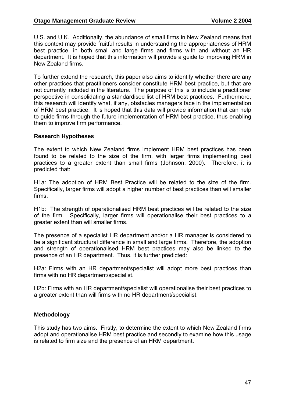U.S. and U.K. Additionally, the abundance of small firms in New Zealand means that this context may provide fruitful results in understanding the appropriateness of HRM best practice, in both small and large firms and firms with and without an HR department. It is hoped that this information will provide a guide to improving HRM in New Zealand firms.

To further extend the research, this paper also aims to identify whether there are any other practices that practitioners consider constitute HRM best practice, but that are not currently included in the literature. The purpose of this is to include a practitioner perspective in consolidating a standardised list of HRM best practices. Furthermore, this research will identify what, if any, obstacles managers face in the implementation of HRM best practice. It is hoped that this data will provide information that can help to guide firms through the future implementation of HRM best practice, thus enabling them to improve firm performance.

### **Research Hypotheses**

The extent to which New Zealand firms implement HRM best practices has been found to be related to the size of the firm, with larger firms implementing best practices to a greater extent than small firms (Johnson, 2000). Therefore, it is predicted that:

H1a: The adoption of HRM Best Practice will be related to the size of the firm. Specifically, larger firms will adopt a higher number of best practices than will smaller firms.

H1b: The strength of operationalised HRM best practices will be related to the size of the firm. Specifically, larger firms will operationalise their best practices to a greater extent than will smaller firms.

The presence of a specialist HR department and/or a HR manager is considered to be a significant structural difference in small and large firms. Therefore, the adoption and strength of operationalised HRM best practices may also be linked to the presence of an HR department. Thus, it is further predicted:

H2a: Firms with an HR department/specialist will adopt more best practices than firms with no HR department/specialist.

H2b: Firms with an HR department/specialist will operationalise their best practices to a greater extent than will firms with no HR department/specialist.

### **Methodology**

This study has two aims. Firstly, to determine the extent to which New Zealand firms adopt and operationalise HRM best practice and secondly to examine how this usage is related to firm size and the presence of an HRM department.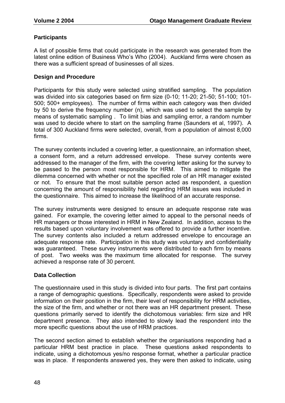### **Participants**

A list of possible firms that could participate in the research was generated from the latest online edition of Business Who's Who (2004). Auckland firms were chosen as there was a sufficient spread of businesses of all sizes.

### **Design and Procedure**

Participants for this study were selected using stratified sampling. The population was divided into six categories based on firm size (0-10; 11-20; 21-50; 51-100; 101- 500; 500+ employees). The number of firms within each category was then divided by 50 to derive the frequency number (n), which was used to select the sample by means of systematic sampling . To limit bias and sampling error, a random number was used to decide where to start on the sampling frame (Saunders et al, 1997). A total of 300 Auckland firms were selected, overall, from a population of almost 8,000 firms.

The survey contents included a covering letter, a questionnaire, an information sheet, a consent form, and a return addressed envelope. These survey contents were addressed to the manager of the firm, with the covering letter asking for the survey to be passed to the person most responsible for HRM. This aimed to mitigate the dilemma concerned with whether or not the specified role of an HR manager existed or not. To ensure that the most suitable person acted as respondent, a question concerning the amount of responsibility held regarding HRM issues was included in the questionnaire. This aimed to increase the likelihood of an accurate response.

The survey instruments were designed to ensure an adequate response rate was gained. For example, the covering letter aimed to appeal to the personal needs of HR managers or those interested in HRM in New Zealand. In addition, access to the results based upon voluntary involvement was offered to provide a further incentive. The survey contents also included a return addressed envelope to encourage an adequate response rate. Participation in this study was voluntary and confidentiality was guaranteed. These survey instruments were distributed to each firm by means of post. Two weeks was the maximum time allocated for response. The survey achieved a response rate of 30 percent.

#### **Data Collection**

The questionnaire used in this study is divided into four parts. The first part contains a range of demographic questions. Specifically, respondents were asked to provide information on their position in the firm, their level of responsibility for HRM activities, the size of the firm, and whether or not there was an HR department present. These questions primarily served to identify the dichotomous variables: firm size and HR department presence. They also intended to slowly lead the respondent into the more specific questions about the use of HRM practices.

The second section aimed to establish whether the organisations responding had a particular HRM best practice in place. These questions asked respondents to indicate, using a dichotomous yes/no response format, whether a particular practice was in place. If respondents answered yes, they were then asked to indicate, using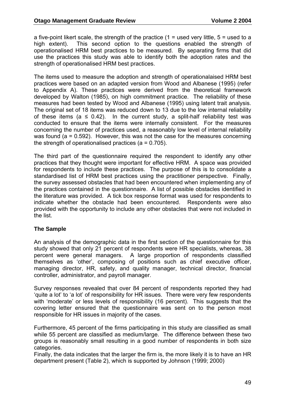a five-point likert scale, the strength of the practice  $(1 = used)$  very little,  $5 = used$  to a high extent). This second option to the questions enabled the strength of operationalised HRM best practices to be measured. By separating firms that did use the practices this study was able to identify both the adoption rates and the strength of operationalised HRM best practices.

The items used to measure the adoption and strength of operationalaised HRM best practices were based on an adapted version from Wood and Albanese (1995) (refer to Appendix A). These practices were derived from the theoretical framework developed by Walton (1985), on high commitment practice. The reliability of these measures had been tested by Wood and Albanese (1995) using latent trait analysis. The original set of 18 items was reduced down to 13 due to the low internal reliability of these items ( $a \leq 0.42$ ). In the current study, a split-half reliability test was conducted to ensure that the items were internally consistent. For the measures concerning the number of practices used, a reasonably low level of internal reliability was found (a = 0.592). However, this was not the case for the measures concerning the strength of operationalised practices ( $a = 0.705$ ).

The third part of the questionnaire required the respondent to identify any other practices that they thought were important for effective HRM. A space was provided for respondents to include these practices. The purpose of this is to consolidate a standardised list of HRM best practices using the practitioner perspective. Finally, the survey assessed obstacles that had been encountered when implementing any of the practices contained in the questionnaire. A list of possible obstacles identified in the literature was provided. A tick box response format was used for respondents to indicate whether the obstacle had been encountered. Respondents were also provided with the opportunity to include any other obstacles that were not included in the list.

### **The Sample**

An analysis of the demographic data in the first section of the questionnaire for this study showed that only 21 percent of respondents were HR specialists, whereas, 38 percent were general managers. A large proportion of respondents classified themselves as 'other', composing of positions such as chief executive officer, managing director, HR, safety, and quality manager, technical director, financial controller, administrator, and payroll manager.

Survey responses revealed that over 84 percent of respondents reported they had 'quite a lot' to 'a lot' of responsibility for HR issues. There were very few respondents with 'moderate' or less levels of responsibility (16 percent). This suggests that the covering letter ensured that the questionnaire was sent on to the person most responsible for HR issues in majority of the cases.

Furthermore, 45 percent of the firms participating in this study are classified as small while 55 percent are classified as medium/large. The difference between these two groups is reasonably small resulting in a good number of respondents in both size categories.

Finally, the data indicates that the larger the firm is, the more likely it is to have an HR department present (Table 2), which is supported by Johnson (1999; 2000)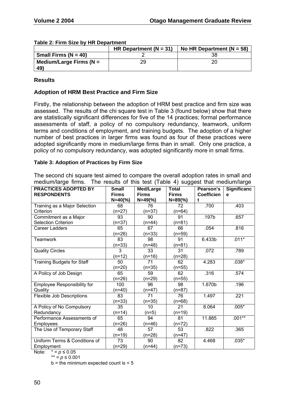|                            | HR Department ( $N = 31$ ) | No HR Department ( $N = 58$ ) |
|----------------------------|----------------------------|-------------------------------|
| Small Firms ( $N = 40$ )   |                            |                               |
| Medium/Large Firms ( $N =$ | 29                         |                               |
| 49)                        |                            |                               |

#### **Table 2: Firm Size by HR Department**

### **Results**

### **Adoption of HRM Best Practice and Firm Size**

Firstly, the relationship between the adoption of HRM best practice and firm size was assessed. The results of the chi square test in Table 3 (found below) show that there are statistically significant differences for five of the 14 practices; formal performance assessments of staff, a policy of no compulsory redundancy, teamwork, uniform terms and conditions of employment, and training budgets. The adoption of a higher number of best practices in larger firms was found as four of these practices were adopted significantly more in medium/large firms than in small. Only one practice, a policy of no compulsory redundancy, was adopted significantly more in small firms.

#### **Table 3: Adoption of Practices by Firm Size**

The second chi square test aimed to compare the overall adoption rates in small and medium/large firms. The results of this test (Table 4) suggest that medium/large

| <b>PRACTICES ADOPTED BY</b><br><b>RESPONDENTS</b> | <b>Small</b><br><b>Firms</b> | Med/Large<br><b>Firms</b> | <b>Total</b><br><b>Firms</b> | Pearson's<br><b>Coefficien</b><br>t | Significanc<br>e |
|---------------------------------------------------|------------------------------|---------------------------|------------------------------|-------------------------------------|------------------|
| Training as a Major Selection                     | $N = 40$ (%)<br>68           | $N = 49$ (%)<br>76        | $N = 89$ (%)<br>72           | .700                                | .403             |
| Criterion                                         | $(n=27)$                     | $(n=37)$                  | $(n=64)$                     |                                     |                  |
| Commitment as a Major                             | 93                           | 90                        | 91                           | .197b                               | .657             |
| <b>Selection Criterion</b>                        | $(n=37)$                     | $(n=44)$                  | $(n=81)$                     |                                     |                  |
| <b>Career Ladders</b>                             | 65                           | 67                        | 66                           | .054                                | .816             |
|                                                   | $(n=26)$                     | $(n=33)$                  | $(n=59)$                     |                                     |                  |
| <b>Teamwork</b>                                   | 83                           | 98                        | 91                           | 6.433b                              | $.011*$          |
|                                                   | $(n=33)$                     | $(n=48)$                  | $(n=81)$                     |                                     |                  |
| <b>Quality Circles</b>                            | 3                            | 33                        | 31                           | .072                                | .789             |
|                                                   | $(n=12)$                     | $(n=16)$                  | $(n=28)$                     |                                     |                  |
| <b>Training Budgets for Staff</b>                 | 50                           | 71                        | 62                           | 4.283                               | $.038*$          |
|                                                   | $(n=20)$                     | $(n=35)$                  | $(n=55)$                     |                                     |                  |
| A Policy of Job Design                            | 65                           | 59                        | 62                           | .316                                | .574             |
|                                                   | $(n=26)$                     | $(n=29)$                  | $(n=55)$                     |                                     |                  |
| <b>Employee Responsibility for</b>                | 100                          | 96                        | 98                           | 1.670b                              | .196             |
| Quality                                           | $(n=40)$                     | $(n=47)$                  | $(n=87)$                     |                                     |                  |
| <b>Flexible Job Descriptions</b>                  | 83                           | 71                        | 76                           | 1.497                               | .221             |
|                                                   | $(n=33)$                     | $(n=35)$                  | $(n=68)$                     |                                     |                  |
| A Policy of No Compulsory                         | 35                           | 10 <sup>1</sup>           | 21                           | 8.064                               | $.005*$          |
| Redundancy                                        | $(n=14)$                     | $(n=5)$                   | $(n=19)$                     |                                     |                  |
| Performance Assessments of                        | 65                           | 94                        | 81                           | 11.885                              | $.001**$         |
| Employees                                         | $(n=26)$                     | $(n=46)$                  | $(n=72)$                     |                                     |                  |
| The Use of Temporary Staff                        | 48                           | 57                        | 53                           | .822                                | .365             |
|                                                   | $(n=19)$                     | $(n=28)$                  | $(n=47)$                     |                                     |                  |
| Uniform Terms & Conditions of                     | 73                           | 90                        | 82                           | 4.468                               | $.035*$          |
| Employment                                        | $(n=29)$                     | $(n=44)$                  | $(n=73)$                     |                                     |                  |

Note:  $* = p \le 0.05$ 

\*\* = *p* ≤ 0.001

 $b =$  the minimum expected count is  $< 5$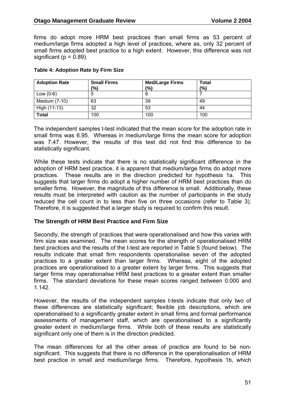firms do adopt more HRM best practices than small firms as 53 percent of medium/large firms adopted a high level of practices, where as, only 32 percent of small firms adopted best practice to a high extent. However, this difference was not significant ( $p = 0.89$ ).

| <b>Adoption Rate</b> | <b>Small Firms</b> | <b>Med/Large Firms</b> | <b>Total</b> |
|----------------------|--------------------|------------------------|--------------|
|                      | (%)                | $\frac{10}{6}$         | (9/0)        |
| Low $(0-6)$          | O                  | O                      |              |
| Medium (7-10)        | 63                 | 39                     | 49           |
| High (11-13)         | 32                 | 53                     | 44           |
| <b>Total</b>         | 100                | 100                    | 100          |

#### **Table 4: Adoption Rate by Firm Size**

The independent samples t-test indicated that the mean score for the adoption rate in small firms was 6.95. Whereas in medium/large firms the mean score for adoption was 7.47. However, the results of this test did not find this difference to be statistically significant.

While these tests indicate that there is no statistically significant difference in the adoption of HRM best practice, it is apparent that medium/large firms do adopt more practices. These results are in the direction predicted for hypothesis 1a. This suggests that larger firms do adopt a higher number of HRM best practices than do smaller firms. However, the magnitude of this difference is small. Additionally, these results must be interpreted with caution as the number of participants in the study reduced the cell count in to less than five on three occasions (refer to Table 3). Therefore, it is suggested that a larger study is required to confirm this result.

#### **The Strength of HRM Best Practice and Firm Size**

Secondly, the strength of practices that were operationalised and how this varies with firm size was examined. The mean scores for the strength of operationalised HRM best practices and the results of the t-test are reported in Table 5 (found below). The results indicate that small firm respondents operationalise seven of the adopted practices to a greater extent than larger firms. Whereas, eight of the adopted practices are operationalised to a greater extent by larger firms. This suggests that larger firms may operationalise HRM best practices to a greater extent than smaller firms. The standard deviations for these mean scores ranged between 0.000 and 1.142.

However, the results of the independent samples t-tests indicate that only two of these differences are statistically significant; flexible job descriptions, which are operationalised to a significantly greater extent in small firms and formal performance assessments of management staff, which are operationalised to a significantly greater extent in medium/large firms. While both of these results are statistically significant only one of them is in the direction predicted.

The mean differences for all the other areas of practice are found to be nonsignificant. This suggests that there is no difference in the operationalisation of HRM best practice in small and medium/large firms. Therefore, hypothesis 1b, which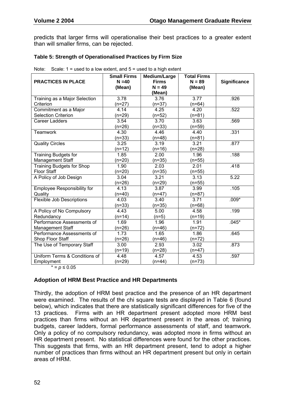predicts that larger firms will operationalise their best practices to a greater extent than will smaller firms, can be rejected.

#### **Table 5: Strength of Operationalised Practices by Firm Size**

| <b>PRACTICES IN PLACE</b>          | <b>Small Firms</b><br>$N = 40$<br>(Mean) | Medium/Large<br><b>Firms</b><br>$N = 49$ | <b>Total Firms</b><br>$N = 89$<br>(Mean) | <b>Significance</b> |
|------------------------------------|------------------------------------------|------------------------------------------|------------------------------------------|---------------------|
|                                    |                                          | (Mean)                                   |                                          |                     |
| Training as a Major Selection      | 3.78                                     | 3.76                                     | $\overline{3.77}$                        | .926                |
| Criterion                          | $(n=27)$                                 | $(n=37)$                                 | $(n=64)$                                 |                     |
| Commitment as a Major              | 4.14                                     | 4.25                                     | 4.20                                     | .522                |
| <b>Selection Criterion</b>         | (n=29)                                   | $(n=52)$                                 | $(n=81)$                                 |                     |
| <b>Career Ladders</b>              | 3.54                                     | 3.70                                     | 3.63                                     | .569                |
|                                    | $(n=26)$                                 | $(n=33)$                                 | $(n=59)$                                 |                     |
| Teamwork                           | 4.30                                     | 4.46                                     | 4.40                                     | .331                |
|                                    | $(n=33)$                                 | $(n=48)$                                 | $(n=81)$                                 |                     |
| <b>Quality Circles</b>             | 3.25                                     | 3.19                                     | 3.21                                     | .877                |
|                                    | $(n=12)$                                 | $(n=16)$                                 | (n=28)                                   |                     |
| <b>Training Budgets for</b>        | 1.85                                     | 2.00                                     | 1.96                                     | .188                |
| Management Staff                   | $(n=20)$                                 | $(n=35)$                                 | $(n=55)$                                 |                     |
| Training Budgets for Shop          | 1.90                                     | 2.03                                     | 2.01                                     | .418                |
| <b>Floor Staff</b>                 | $(n=20)$                                 | $(n=35)$                                 | $(n=55)$                                 |                     |
| A Policy of Job Design             | 3.04                                     | 3.21                                     | 3.13                                     | 5.22                |
|                                    | $(n=26)$                                 | $(n=29)$                                 | $(n=55)$                                 |                     |
| <b>Employee Responsibility for</b> | 4.13                                     | 3.87                                     | 3.99                                     | .105                |
| Quality                            | $(n=40)$                                 | $(n=47)$                                 | $(n=87)$                                 |                     |
| <b>Flexible Job Descriptions</b>   | 4.03                                     | 3.40                                     | 3.71                                     | $.009*$             |
|                                    | $(n=33)$                                 | $(n=35)$                                 | (n=68)                                   |                     |
| A Policy of No Compulsory          | 4.43                                     | 5.00                                     | 4.58                                     | .199                |
| Redundancy                         | $(n=14)$                                 | $(n=5)$                                  | $(n=19)$                                 |                     |
| Performance Assessments of         | 1.69                                     | 1.96                                     | 1.91                                     | $.045*$             |
| Management Staff                   | $(n=26)$                                 | $(n=46)$                                 | $(n=72)$                                 |                     |
| Performance Assessments of         | 1.73                                     | 1.65                                     | 1.86                                     | .645                |
| Shop Floor Staff                   | $(n=26)$                                 | $(n=46)$                                 | $(n=72)$                                 |                     |
| The Use of Temporary Staff         | 3.00                                     | 2.93                                     | 3.02                                     | .873                |
|                                    | $(n=19)$                                 | $(n=28)$                                 | $(n=47)$                                 |                     |
| Uniform Terms & Conditions of      | 4.48                                     | 4.57                                     | 4.53                                     | .597                |
| Employment                         | $(n=29)$                                 | $(n=44)$                                 | $(n=73)$                                 |                     |

Note: Scale:  $1 =$  used to a low extent, and  $5 =$  used to a high extent.

 $* = p ≤ 0.05$ 

### **Adoption of HRM Best Practice and HR Departments**

Thirdly, the adoption of HRM best practice and the presence of an HR department were examined. The results of the chi square tests are displayed in Table 6 (found below), which indicates that there are statistically significant differences for five of the 13 practices. Firms with an HR department present adopted more HRM best practices than firms without an HR department present in the areas of; training budgets, career ladders, formal performance assessments of staff, and teamwork. Only a policy of no compulsory redundancy, was adopted more in firms without an HR department present. No statistical differences were found for the other practices. This suggests that firms, with an HR department present, tend to adopt a higher number of practices than firms without an HR department present but only in certain areas of HRM.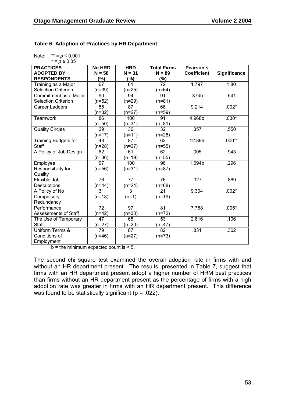### **Table 6: Adoption of Practices by HR Department**

| Note: | $** = p ≤ 0.001$ |
|-------|------------------|
|       | $* = n < 0.05$   |

| $\sim$ - $\sim$ $\sim$      |               |                 |                    |                    |                     |
|-----------------------------|---------------|-----------------|--------------------|--------------------|---------------------|
| <b>PRACTICES</b>            | <b>No HRD</b> | <b>HRD</b>      | <b>Total Firms</b> | Pearson's          |                     |
| <b>ADOPTED BY</b>           | $N = 58$      | $N = 31$        | $N = 89$           | <b>Coefficient</b> | <b>Significance</b> |
| <b>RESPONDENTS</b>          | $(\%)$        | $(\%)$          | (%)                |                    |                     |
| Training as a Major         | 67            | 81              | 72                 | 1.797              | 1.80                |
| <b>Selection Criterion</b>  | $(n=39)$      | $(n=25)$        | $(n=64)$           |                    |                     |
| Commitment as a Major       | 90            | 94              | 91                 | .374b              | .541                |
| <b>Selection Criterion</b>  | $(n=52)$      | $(n=29)$        | $(n=81)$           |                    |                     |
| <b>Career Ladders</b>       | 55            | 87              | 66                 | 9.214              | $.002*$             |
|                             | $(n=32)$      | $(n=27)$        | $(n=59)$           |                    |                     |
| <b>Teamwork</b>             | 86            | 100             | 91                 | 4.968b             | $.030*$             |
|                             | $(n=50)$      | $(n=31)$        | $(n=81)$           |                    |                     |
| <b>Quality Circles</b>      | 29            | 36              | 32                 | .357               | .550                |
|                             | $(n=17)$      | $(n=11)$        | $(n=28)$           |                    |                     |
| <b>Training Budgets for</b> | 48            | 87              | 62                 | 12.896             | $.000**$            |
| <b>Staff</b>                | $(n=28)$      | $(n=27)$        | $(n=55)$           |                    |                     |
| A Policy of Job Design      | 62            | 61              | 62                 | .005               | .943                |
|                             | $(n=36)$      | $(n=19)$        | $(n=55)$           |                    |                     |
| Employee                    | 97            | 100             | 98                 | 1.094b             | .296                |
| Responsibility for          | $(n=56)$      | $(n=31)$        | $(n=87)$           |                    |                     |
| Quality                     |               |                 |                    |                    |                     |
| Flexible Job                | 76            | $\overline{77}$ | 76                 | .027               | .869                |
| Descriptions                | $(n=44)$      | $(n=24)$        | $(n=68)$           |                    |                     |
| A Policy of No              | 31            | 3               | 21                 | 9.304              | $.002*$             |
| Compulsory                  | $(n=18)$      | $(n=1)$         | $(n=19)$           |                    |                     |
| Redundancy                  |               |                 |                    |                    |                     |
| Performance                 | 72            | 97              | 81                 | 7.758              | $.005*$             |
| <b>Assessments of Staff</b> | $(n=42)$      | $(n=30)$        | $(n=72)$           |                    |                     |
| The Use of Temporary        | 47            | 65              | 53                 | 2.616              | .106                |
| <b>Staff</b>                | $(n=27)$      | $(n=20)$        | $(n=47)$           |                    |                     |
| Uniform Terms &             | 79            | 87              | 82                 | .831               | .362                |
| Conditions of               | $(n=46)$      | $(n=27)$        | $(n=73)$           |                    |                     |
| Employment                  |               |                 |                    |                    |                     |

 $b =$  the minimum expected count is  $\leq 5$ .

The second chi square test examined the overall adoption rate in firms with and without an HR department present. The results, presented in Table 7, suggest that firms with an HR department present adopt a higher number of HRM best practices than firms without an HR department present as the percentage of firms with a high adoption rate was greater in firms with an HR department present. This difference was found to be statistically significant ( $p = .022$ ).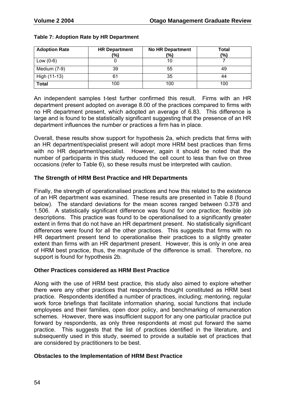| <b>Adoption Rate</b> | <b>HR Department</b><br>(%) | <b>No HR Department</b><br>$\frac{1}{2}$ | <b>Total</b><br>(%) |
|----------------------|-----------------------------|------------------------------------------|---------------------|
| Low $(0-6)$          |                             |                                          |                     |
| Medium (7-9)         | 39                          | 55                                       | 49                  |
| High (11-13)         | 61                          | 35                                       |                     |
| <b>Total</b>         | 100                         | 100                                      | 100                 |

### **Table 7: Adoption Rate by HR Department**

An independent samples t-test further confirmed this result. Firms with an HR department present adopted on average 8.00 of the practices compared to firms with no HR department present, which adopted an average of 6.83. This difference is large and is found to be statistically significant suggesting that the presence of an HR department influences the number or practices a firm has in place.

Overall, these results show support for hypothesis 2a, which predicts that firms with an HR department/specialist present will adopt more HRM best practices than firms with no HR department/specialist. However, again it should be noted that the number of participants in this study reduced the cell count to less than five on three occasions (refer to Table 6), so these results must be interpreted with caution.

### **The Strength of HRM Best Practice and HR Departments**

Finally, the strength of operationalised practices and how this related to the existence of an HR department was examined. These results are presented in Table 8 (found below). The standard deviations for the mean scores ranged between 0.378 and 1.506. A statistically significant difference was found for one practice; flexible job descriptions. This practice was found to be operationalised to a significantly greater extent in firms that do not have an HR department present. No statistically significant differences were found for all the other practices. This suggests that firms with no HR department present tend to operationalise their practices to a slightly greater extent than firms with an HR department present. However, this is only in one area of HRM best practice, thus, the magnitude of the difference is small. Therefore, no support is found for hypothesis 2b.

### **Other Practices considered as HRM Best Practice**

Along with the use of HRM best practice, this study also aimed to explore whether there were any other practices that respondents thought constituted as HRM best practice. Respondents identified a number of practices, including; mentoring, regular work force briefings that facilitate information sharing, social functions that include employees and their families, open door policy, and benchmarking of remuneration schemes. However, there was insufficient support for any one particular practice put forward by respondents, as only three respondents at most put forward the same practice. This suggests that the list of practices identified in the literature, and subsequently used in this study, seemed to provide a suitable set of practices that are considered by practitioners to be best.

### **Obstacles to the Implementation of HRM Best Practice**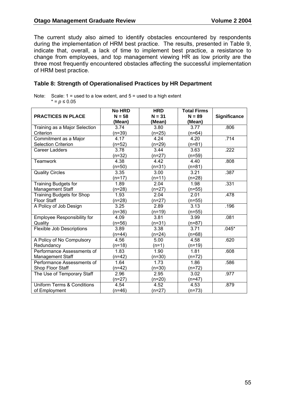The current study also aimed to identify obstacles encountered by respondents during the implementation of HRM best practice. The results, presented in Table 9, indicate that, overall, a lack of time to implement best practice, a resistance to change from employees, and top management viewing HR as low priority are the three most frequently encountered obstacles affecting the successful implementation of HRM best practice.

### **Table 8: Strength of Operationalised Practices by HR Department**

Note: Scale:  $1 =$  used to a low extent, and  $5 =$  used to a high extent \* = *p* ≤ 0.05

| <b>PRACTICES IN PLACE</b>             | <b>No HRD</b><br>$N = 58$ | <b>HRD</b><br>$N = 31$ | <b>Total Firms</b><br>$N = 89$ | <b>Significance</b> |
|---------------------------------------|---------------------------|------------------------|--------------------------------|---------------------|
|                                       | (Mean)                    | (Mean)                 | (Mean)                         |                     |
| Training as a Major Selection         | 3.74                      | 3.80                   | 3.77                           | .806                |
| Criterion                             | $(n=39)$                  | $(n=25)$               | $(n=64)$                       |                     |
| Commitment as a Major                 | 4.17                      | 4.24                   | 4.20                           | .714                |
| <b>Selection Criterion</b>            | (n=52)                    | $(n=29)$               | $(n=81)$                       |                     |
| <b>Career Ladders</b>                 | 3.78                      | 3.44                   | 3.63                           | .222                |
|                                       | $(n=32)$                  | $(n=27)$               | $(n=59)$                       |                     |
| <b>Teamwork</b>                       | 4.38                      | 4.42                   | 4.40                           | .808                |
|                                       | $(n=50)$                  | $(n=31)$               | (n=81)                         |                     |
| <b>Quality Circles</b>                | 3.35                      | 3.00                   | 3.21                           | .387                |
|                                       | $(n=17)$                  | $(n=11)$               | $(n=28)$                       |                     |
| <b>Training Budgets for</b>           | 1.89                      | 2.04                   | 1.98                           | .331                |
| Management Staff                      | $(n=28)$                  | $(n=27)$               | $(n=55)$                       |                     |
| <b>Training Budgets for Shop</b>      | 1.93                      | 2.04                   | 2.01                           | .478                |
| <b>Floor Staff</b>                    | $(n=28)$                  | $(n=27)$               | $(n=55)$                       |                     |
| A Policy of Job Design                | 3.25                      | 2.89                   | 3.13                           | .196                |
|                                       | (n=36)                    | $(n=19)$               | $(n=55)$                       |                     |
| <b>Employee Responsibility for</b>    | 4.09                      | 3.81                   | 3.99                           | .081                |
| Quality                               | (n=56)                    | $(n=31)$               | $(n=87)$                       |                     |
| Flexible Job Descriptions             | 3.89                      | 3.38                   | 3.71                           | $.045*$             |
|                                       | $(n=44)$                  | $(n=24)$               | (n=68)                         |                     |
| A Policy of No Compulsory             | 4.56                      | 5.00                   | 4.58                           | .620                |
| Redundancy                            | (n=18)                    | $(n=1)$                | $(n=19)$                       |                     |
| Performance Assessments of            | 1.83                      | 1.90                   | 1.81                           | .608                |
| <b>Management Staff</b>               | $(n=42)$                  | $(n=30)$               | $(n=72)$                       |                     |
| Performance Assessments of            | 1.64                      | 1.73                   | 1.86                           | .586                |
| Shop Floor Staff                      | $(n=42)$                  | $(n=30)$               | $(n=72)$                       |                     |
| The Use of Temporary Staff            | 2.96                      | 2.95                   | 3.02                           | .977                |
|                                       | (n=27)                    | $(n=20)$               | $(n=47)$                       |                     |
| <b>Uniform Terms &amp; Conditions</b> | 4.54                      | 4.52                   | 4.53                           | .879                |
| of Employment                         | $(n=46)$                  | $(n=27)$               | $(n=73)$                       |                     |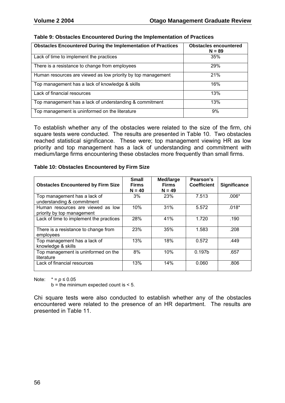| <b>Obstacles Encountered During the Implementation of Practices</b> | <b>Obstacles encountered</b><br>$N = 89$ |
|---------------------------------------------------------------------|------------------------------------------|
| Lack of time to implement the practices                             | 35%                                      |
| There is a resistance to change from employees                      | 29%                                      |
| Human resources are viewed as low priority by top management        | 21%                                      |
| Top management has a lack of knowledge & skills                     | 16%                                      |
| Lack of financial resources                                         | 13%                                      |
| Top management has a lack of understanding & commitment             | 13%                                      |
| Top management is uninformed on the literature                      | 9%                                       |

### **Table 9: Obstacles Encountered During the Implementation of Practices**

To establish whether any of the obstacles were related to the size of the firm, chi square tests were conducted. The results are presented in Table 10. Two obstacles reached statistical significance. These were; top management viewing HR as low priority and top management has a lack of understanding and commitment with medium/large firms encountering these obstacles more frequently than small firms.

#### **Table 10: Obstacles Encountered by Firm Size**

| <b>Obstacles Encountered by Firm Size</b>                       | <b>Small</b><br><b>Firms</b><br>$N = 40$ | Med/large<br><b>Firms</b><br>$N = 49$ | Pearson's<br><b>Coefficient</b> | Significance |
|-----------------------------------------------------------------|------------------------------------------|---------------------------------------|---------------------------------|--------------|
| Top management has a lack of<br>understanding & commitment      | 3%                                       | 23%                                   | 7.513                           | $.006*$      |
| Human resources are viewed as low<br>priority by top management | 10%                                      | 31%                                   | 5.572                           | $.018*$      |
| Lack of time to implement the practices                         | 28%                                      | 41%                                   | 1.720                           | .190         |
| There is a resistance to change from<br>employees               | 23%                                      | 35%                                   | 1.583                           | .208         |
| Top management has a lack of<br>knowledge & skills              | 13%                                      | 18%                                   | 0.572                           | .449         |
| Top management is uninformed on the<br>literature               | 8%                                       | 10%                                   | 0.197b                          | .657         |
| Lack of financial resources                                     | 13%                                      | 14%                                   | 0.060                           | .806         |

Note:  $* = p \le 0.05$ 

 $b =$  the minimum expected count is  $\leq 5$ .

Chi square tests were also conducted to establish whether any of the obstacles encountered were related to the presence of an HR department. The results are presented in Table 11.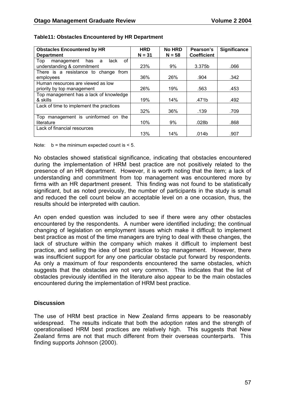| <b>Obstacles Encountered by HR</b>          | <b>HRD</b> | <b>No HRD</b> | Pearson's          | <b>Significance</b> |
|---------------------------------------------|------------|---------------|--------------------|---------------------|
| <b>Department</b>                           | $N = 31$   | $N = 58$      | <b>Coefficient</b> |                     |
| of<br>Top<br>lack<br>management<br>has<br>a |            |               |                    |                     |
| understanding & commitment                  | 23%        | 9%            | 3.375b             | .066                |
| There is a resistance to change from        |            |               |                    |                     |
| employees                                   | 36%        | 26%           | .904               | .342                |
| Human resources are viewed as low           |            |               |                    |                     |
| priority by top management                  | 26%        | 19%           | .563               | .453                |
| Top management has a lack of knowledge      |            |               |                    |                     |
| & skills                                    | 19%        | 14%           | .471b              | .492                |
| Lack of time to implement the practices     |            |               |                    |                     |
|                                             | 32%        | 36%           | .139               | .709                |
| Top management is uninformed on the         |            |               |                    |                     |
| literature                                  | 10%        | 9%            | .028b              | .868                |
| Lack of financial resources                 |            |               |                    |                     |
|                                             | 13%        | 14%           | .014b              | .907                |

#### **Table11: Obstacles Encountered by HR Department**

Note:  $b =$  the minimum expected count is  $\leq 5$ .

No obstacles showed statistical significance, indicating that obstacles encountered during the implementation of HRM best practice are not positively related to the presence of an HR department. However, it is worth noting that the item; a lack of understanding and commitment from top management was encountered more by firms with an HR department present. This finding was not found to be statistically significant, but as noted previously, the number of participants in the study is small and reduced the cell count below an acceptable level on a one occasion, thus, the results should be interpreted with caution.

An open ended question was included to see if there were any other obstacles encountered by the respondents. A number were identified including; the continual changing of legislation on employment issues which make it difficult to implement best practice as most of the time managers are trying to deal with these changes, the lack of structure within the company which makes it difficult to implement best practice, and selling the idea of best practice to top management. However, there was insufficient support for any one particular obstacle put forward by respondents. As only a maximum of four respondents encountered the same obstacles, which suggests that the obstacles are not very common. This indicates that the list of obstacles previously identified in the literature also appear to be the main obstacles encountered during the implementation of HRM best practice.

#### **Discussion**

The use of HRM best practice in New Zealand firms appears to be reasonably widespread. The results indicate that both the adoption rates and the strength of operationalised HRM best practices are relatively high. This suggests that New Zealand firms are not that much different from their overseas counterparts. This finding supports Johnson (2000).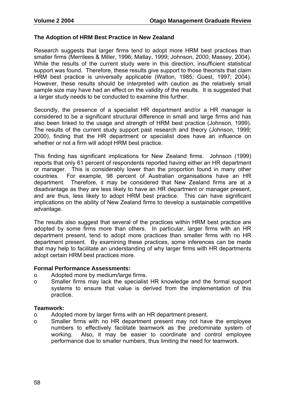#### **The Adoption of HRM Best Practice in New Zealand**

Research suggests that larger firms tend to adopt more HRM best practices than smaller firms (Merrilees & Miller, 1996; Matlay, 1999; Johnson, 2000; Massey, 2004). While the results of the current study were in this direction, insufficient statistical support was found. Therefore, these results give support to those theorists that claim HRM best practice is universally applicable (Walton, 1985; Guest, 1997; 2004). However, these results should be interpreted with caution as the relatively small sample size may have had an effect on the validity of the results. It is suggested that a larger study needs to be conducted to examine this further.

Secondly, the presence of a specialist HR department and/or a HR manager is considered to be a significant structural difference in small and large firms and has also been linked to the usage and strength of HRM best practice (Johnson, 1999). The results of the current study support past research and theory (Johnson, 1999; 2000), finding that the HR department or specialist does have an influence on whether or not a firm will adopt HRM best practice.

This finding has significant implications for New Zealand firms. Johnson (1999) reports that only 61 percent of respondents reported having either an HR department or manager. This is considerably lower than the proportion found in many other countries. For example, 98 percent of Australian organisations have an HR department. Therefore, it may be considered that New Zealand firms are at a disadvantage as they are less likely to have an HR department or manager present, and are thus, less likely to adopt HRM best practice. This can have significant implications on the ability of New Zealand firms to develop a sustainable competitive advantage.

The results also suggest that several of the practices within HRM best practice are adopted by some firms more than others. In particular, larger firms with an HR department present, tend to adopt more practices than smaller firms with no HR department present. By examining these practices, some inferences can be made that may help to facilitate an understanding of why larger firms with HR departments adopt certain HRM best practices more.

#### **Formal Performance Assessments:**

- o Adopted more by medium/large firms.
- o Smaller firms may lack the specialist HR knowledge and the formal support systems to ensure that value is derived from the implementation of this practice.

#### **Teamwork:**

- o Adopted more by larger firms with an HR department present.
- o Smaller firms with no HR department present may not have the employee numbers to effectively facilitate teamwork as the predominate system of working. Also, it may be easier to coordinate and control employee performance due to smaller numbers, thus limiting the need for teamwork.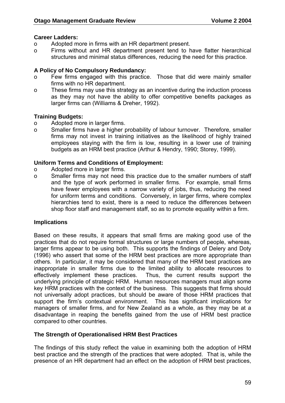### **Career Ladders:**

- o Adopted more in firms with an HR department present.
- o Firms without and HR department present tend to have flatter hierarchical structures and minimal status differences, reducing the need for this practice.

### **A Policy of No Compulsory Redundancy:**

- o Few firms engaged with this practice. Those that did were mainly smaller firms with no HR department.
- o These firms may use this strategy as an incentive during the induction process as they may not have the ability to offer competitive benefits packages as larger firms can (Williams & Dreher, 1992).

### **Training Budgets:**

- o Adopted more in larger firms.
- o Smaller firms have a higher probability of labour turnover. Therefore, smaller firms may not invest in training initiatives as the likelihood of highly trained employees staying with the firm is low, resulting in a lower use of training budgets as an HRM best practice (Arthur & Hendry, 1990; Storey, 1999).

#### **Uniform Terms and Conditions of Employment:**

- o Adopted more in larger firms.
- o Smaller firms may not need this practice due to the smaller numbers of staff and the type of work performed in smaller firms. For example, small firms have fewer employees with a narrow variety of jobs, thus, reducing the need for uniform terms and conditions. Conversely, in larger firms, where complex hierarchies tend to exist, there is a need to reduce the differences between shop floor staff and management staff, so as to promote equality within a firm.

#### **Implications**

Based on these results, it appears that small firms are making good use of the practices that do not require formal structures or large numbers of people, whereas, larger firms appear to be using both. This supports the findings of Delery and Doty (1996) who assert that some of the HRM best practices are more appropriate than others. In particular, it may be considered that many of the HRM best practices are inappropriate in smaller firms due to the limited ability to allocate resources to effectively implement these practices. Thus, the current results support the underlying principle of strategic HRM. Human resources managers must align some key HRM practices with the context of the business. This suggests that firms should not universally adopt practices, but should be aware of those HRM practices that support the firm's contextual environment. This has significant implications for managers of smaller firms, and for New Zealand as a whole, as they may be at a disadvantage in reaping the benefits gained from the use of HRM best practice compared to other countries.

#### **The Strength of Operationalised HRM Best Practices**

The findings of this study reflect the value in examining both the adoption of HRM best practice and the strength of the practices that were adopted. That is, while the presence of an HR department had an effect on the adoption of HRM best practices,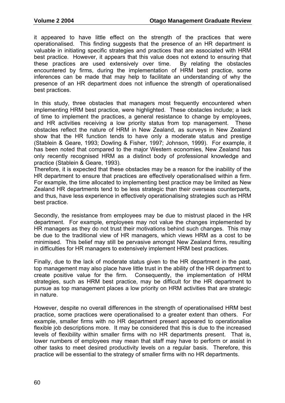it appeared to have little effect on the strength of the practices that were operationalised. This finding suggests that the presence of an HR department is valuable in initiating specific strategies and practices that are associated with HRM best practice. However, it appears that this value does not extend to ensuring that these practices are used extensively over time. By relating the obstacles encountered by firms, during the implementation of HRM best practice, some inferences can be made that may help to facilitate an understanding of why the presence of an HR department does not influence the strength of operationalised best practices.

In this study, three obstacles that managers most frequently encountered when implementing HRM best practice, were highlighted. These obstacles include; a lack of time to implement the practices, a general resistance to change by employees, and HR activities receiving a low priority status from top management. These obstacles reflect the nature of HRM in New Zealand, as surveys in New Zealand show that the HR function tends to have only a moderate status and prestige (Stablein & Geare, 1993; Dowling & Fisher, 1997; Johnson, 1999). For example, it has been noted that compared to the major Western economies, New Zealand has only recently recognised HRM as a distinct body of professional knowledge and practice (Stablein & Geare, 1993).

Therefore, it is expected that these obstacles may be a reason for the inability of the HR department to ensure that practices are effectively operationalised within a firm. For example, the time allocated to implementing best practice may be limited as New Zealand HR departments tend to be less strategic than their overseas counterparts, and thus, have less experience in effectively operationalising strategies such as HRM best practice.

Secondly, the resistance from employees may be due to mistrust placed in the HR department. For example, employees may not value the changes implemented by HR managers as they do not trust their motivations behind such changes. This may be due to the traditional view of HR managers, which views HRM as a cost to be minimised. This belief may still be pervasive amongst New Zealand firms, resulting in difficulties for HR managers to extensively implement HRM best practices.

Finally, due to the lack of moderate status given to the HR department in the past, top management may also place have little trust in the ability of the HR department to create positive value for the firm. Consequently, the implementation of HRM strategies, such as HRM best practice, may be difficult for the HR department to pursue as top management places a low priority on HRM activities that are strategic in nature.

However, despite no overall differences in the strength of operationalised HRM best practice, some practices were operationalised to a greater extent than others. For example, smaller firms with no HR department present appeared to operationalise flexible job descriptions more. It may be considered that this is due to the increased levels of flexibility within smaller firms with no HR departments present. That is, lower numbers of employees may mean that staff may have to perform or assist in other tasks to meet desired productivity levels on a regular basis. Therefore, this practice will be essential to the strategy of smaller firms with no HR departments.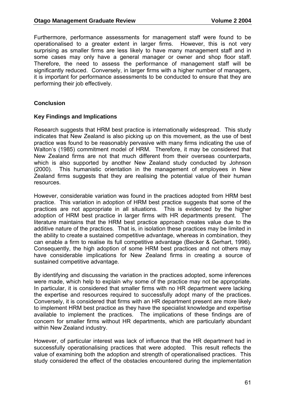Furthermore, performance assessments for management staff were found to be operationalised to a greater extent in larger firms. However, this is not very surprising as smaller firms are less likely to have many management staff and in some cases may only have a general manager or owner and shop floor staff. Therefore, the need to assess the performance of management staff will be significantly reduced. Conversely, in larger firms with a higher number of managers, it is important for performance assessments to be conducted to ensure that they are performing their job effectively.

### **Conclusion**

#### **Key Findings and Implications**

Research suggests that HRM best practice is internationally widespread. This study indicates that New Zealand is also picking up on this movement, as the use of best practice was found to be reasonably pervasive with many firms indicating the use of Walton's (1985) commitment model of HRM. Therefore, it may be considered that New Zealand firms are not that much different from their overseas counterparts, which is also supported by another New Zealand study conducted by Johnson (2000). This humanistic orientation in the management of employees in New Zealand firms suggests that they are realising the potential value of their human resources.

However, considerable variation was found in the practices adopted from HRM best practice. This variation in adoption of HRM best practice suggests that some of the practices are not appropriate in all situations. This is evidenced by the higher adoption of HRM best practice in larger firms with HR departments present. The literature maintains that the HRM best practice approach creates value due to the additive nature of the practices. That is, in isolation these practices may be limited in the ability to create a sustained competitive advantage, whereas in combination, they can enable a firm to realise its full competitive advantage (Becker & Gerhart, 1996). Consequently, the high adoption of some HRM best practices and not others may have considerable implications for New Zealand firms in creating a source of sustained competitive advantage.

By identifying and discussing the variation in the practices adopted, some inferences were made, which help to explain why some of the practice may not be appropriate. In particular, it is considered that smaller firms with no HR department were lacking the expertise and resources required to successfully adopt many of the practices. Conversely, it is considered that firms with an HR department present are more likely to implement HRM best practice as they have the specialist knowledge and expertise available to implement the practices. The implications of these findings are of concern for smaller firms without HR departments, which are particularly abundant within New Zealand industry.

However, of particular interest was lack of influence that the HR department had in successfully operationalising practices that were adopted. This result reflects the value of examining both the adoption and strength of operationalised practices. This study considered the effect of the obstacles encountered during the implementation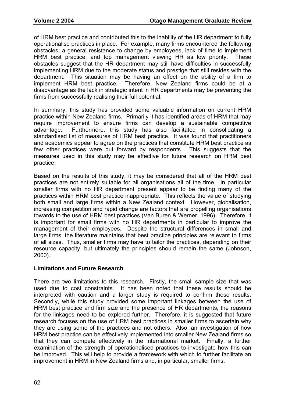of HRM best practice and contributed this to the inability of the HR department to fully operationalise practices in place. For example, many firms encountered the following obstacles; a general resistance to change by employees, lack of time to implement HRM best practice, and top management viewing HR as low priority. These obstacles suggest that the HR department may still have difficulties in successfully implementing HRM due to the moderate status and prestige that still resides with the department. This situation may be having an effect on the ability of a firm to implement HRM best practice. Therefore, New Zealand firms could be at a disadvantage as the lack in strategic intent in HR departments may be preventing the firms from successfully realising their full potential.

In summary, this study has provided some valuable information on current HRM practice within New Zealand firms. Primarily it has identified areas of HRM that may require improvement to ensure firms can develop a sustainable competitive advantage. Furthermore, this study has also facilitated in consolidating a standardised list of measures of HRM best practice. It was found that practitioners and academics appear to agree on the practices that constitute HRM best practice as few other practices were put forward by respondents. This suggests that the measures used in this study may be effective for future research on HRM best practice.

Based on the results of this study, it may be considered that all of the HRM best practices are not entirely suitable for all organisations all of the time. In particular smaller firms with no HR department present appear to be finding many of the practices within HRM best practice inappropriate. This reflects the value of studying both small and large firms within a New Zealand context. However, globalisation, increasing competition and rapid change are factors that are propelling organisations towards to the use of HRM best practices (Van Buren & Werner, 1996). Therefore, it is important for small firms with no HR departments in particular to improve the management of their employees. Despite the structural differences in small and large firms, the literature maintains that best practice principles are relevant to firms of all sizes. Thus, smaller firms may have to tailor the practices, depending on their resource capacity, but ultimately the principles should remain the same (Johnson, 2000).

### **Limitations and Future Research**

There are two limitations to this research. Firstly, the small sample size that was used due to cost constraints. It has been noted that these results should be interpreted with caution and a larger study is required to confirm these results. Secondly, while this study provided some important linkages between the use of HRM best practice and firm size and the presence of HR departments, the reasons for the linkages need to be explored further. Therefore, it is suggested that future research focuses on the use of HRM best practices in smaller firms to ascertain why they are using some of the practices and not others. Also, an investigation of how HRM best practice can be effectively implemented into smaller New Zealand firms so that they can compete effectively in the international market. Finally, a further examination of the strength of operationalised practices to investigate how this can be improved. This will help to provide a framework with which to further facilitate an improvement in HRM in New Zealand firms and, in particular, smaller firms.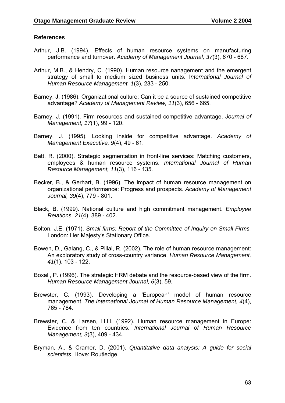#### **References**

- Arthur, J.B. (1994). Effects of human resource systems on manufacturing performance and turnover. *Academy of Management Journal, 37*(3), 670 - 687.
- Arthur, M.B., & Hendry, C. (1990). Human resource nanagement and the emergent strategy of small to medium sized business units. I*nternational Journal of Human Resource Management, 1*(3), 233 - 250.
- Barney, J. (1986). Organizational culture: Can it be a source of sustained competitive advantage? *Academy of Management Review, 11*(3), 656 - 665.
- Barney, J. (1991). Firm resources and sustained competitive advantage. *Journal of Management, 17*(1), 99 - 120.
- Barney, J. (1995). Looking inside for competitive advantage. *Academy of Management Executive, 9*(4), 49 - 61.
- Batt, R. (2000). Strategic segmentation in front-line services: Matching customers, employees & human resource systems. *International Journal of Human Resource Management, 11*(3), 116 - 135.
- Becker, B., & Gerhart, B. (1996). The impact of human resource management on organizational performance: Progress and prospects. *Academy of Management Journal, 39*(4), 779 - 801.
- Black, B. (1999). National culture and high commitment management. *Employee Relations, 21*(4), 389 - 402.
- Bolton, J.E. (1971). *Small firms: Report of the Committee of Inquiry on Small Firms.*  London: Her Majesty's Stationary Office.
- Bowen, D., Galang, C., & Pillai, R. (2002). The role of human resource management: An exploratory study of cross-country variance. *Human Resource Management, 41*(1), 103 - 122.
- Boxall, P. (1996). The strategic HRM debate and the resource-based view of the firm. *Human Resource Management Journal, 6*(3), 59.
- Brewster, C. (1993). Developing a 'European' model of human resource management. *The International Journal of Human Resource Management, 4*(4), 765 - 784.
- Brewster, C. & Larsen, H.H. (1992). Human resource management in Europe: Evidence from ten countries. *International Journal of Human Resource Management, 3*(3), 409 - 434.
- Bryman, A., & Cramer, D. (2001). *Quantitative data analysis: A guide for social scientists*. Hove: Routledge.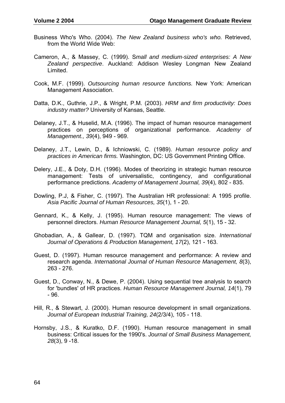- Business Who's Who. (2004). *The New Zealand business who's who.* Retrieved, from the World Wide Web:
- Cameron, A., & Massey, C. (1999). S*mall and medium-sized enterprises: A New Zealand perspective*. Auckland: Addison Wesley Longman New Zealand Limited.
- Cook, M.F. (1999). *Outsourcing human resource functions.* New York: American Management Association.
- Datta, D.K., Guthrie, J.P., & Wright, P.M. (2003). *HRM and firm productivity: Does industry matter?* University of Kansas, Seattle.
- Delaney, J.T., & Huselid, M.A. (1996). The impact of human resource management practices on perceptions of organizational performance. *Academy of Management., 39*(4), 949 - 969.
- Delaney, J.T., Lewin, D., & Ichniowski, C. (1989). *Human resource policy and practices in American firms.* Washington, DC: US Government Printing Office.
- Delery, J.E., & Doty, D.H. (1996). Modes of theorizing in strategic human resource management: Tests of universalistic, contingency, and configurational performance predictions. *Academy of Management Journal, 39*(4), 802 - 835.
- Dowling, P.J, & Fisher, C. (1997). The Australian HR professional: A 1995 profile. *Asia Pacific Journal of Human Resources, 35*(1), 1 - 20.
- Gennard, K., & Kelly, J. (1995). Human resource management: The views of personnel directors. *Human Resource Management Journal, 5*(1), 15 - 32.
- Ghobadian, A., & Gallear, D. (1997). TQM and organisation size. *International Journal of Operations & Production Management, 17*(2), 121 - 163.
- Guest, D. (1997). Human resource management and performance: A review and research agenda. *International Journal of Human Resource Management, 8*(3), 263 - 276.
- Guest, D., Conway, N., & Dewe, P. (2004). Using sequential tree analysis to search for 'bundles' of HR practices. *Human Resource Management Journal, 14*(1), 79 - 96.
- Hill, R., & Stewart, J. (2000). Human resource development in small organizations. *Journal of European Industrial Training, 24*(2/3/4), 105 - 118.
- Hornsby, J.S., & Kuratko, D.F. (1990). Human resource management in small business: Critical issues for the 1990's. *Journal of Small Business Management, 28*(3), 9 -18.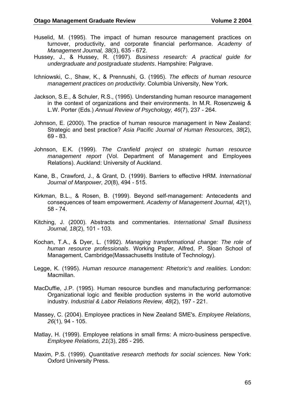- Huselid, M. (1995). The impact of human resource management practices on turnover, productivity, and corporate financial performance. *Academy of Management Journal, 38*(3), 635 - 672.
- Hussey, J., & Hussey, R. (1997). *Business research: A practical guide for undergraduate and postgraduate students*. Hampshire: Palgrave.
- Ichniowski, C., Shaw, K., & Prennushi, G. (1995). *The effects of human resource management practices on productivity*. Columbia University, New York.
- Jackson, S.E., & Schuler, R.S., (1995). Understanding human resource management in the context of organizations and their environments. In M.R. Rosenzweig & L.W. Porter (Eds.) *Annual Review of Psychology, 46*(7), 237 - 264.
- Johnson, E. (2000). The practice of human resource management in New Zealand: Strategic and best practice? *Asia Pacific Journal of Human Resources, 38*(2), 69 - 83.
- Johnson, E.K. (1999). *The Cranfield project on strategic human resource management report* (Vol. Department of Management and Employees Relations). Auckland: University of Auckland.
- Kane, B., Crawford, J., & Grant, D. (1999). Barriers to effective HRM. *International Journal of Manpower, 20*(8), 494 - 515.
- Kirkman, B.L., & Rosen, B. (1999). Beyond self-management: Antecedents and consequences of team empowerment. *Academy of Management Journal, 42*(1), 58 - 74.
- Kitching, J. (2000). Abstracts and commentaries. *International Small Business Journal, 18*(2), 101 - 103.
- Kochan, T.A., & Dyer, L. (1992). *Managing transformational change: The role of human resource professionals*. Working Paper, Alfred, P. Sloan School of Management, Cambridge(Massachusetts Institute of Technology).
- Legge, K. (1995). *Human resource management: Rhetoric's and realities.* London: Macmillan.
- MacDuffie, J.P. (1995). Human resource bundles and manufacturing performance: Organizational logic and flexible production systems in the world automotive industry. *Industrial & Labor Relations Review, 48*(2), 197 - 221.
- Massey, C. (2004). Employee practices in New Zealand SME's. *Employee Relations, 26*(1), 94 - 105.
- Matlay, H. (1999). Employee relations in small firms: A micro-business perspective. *Employee Relations, 21*(3), 285 - 295.
- Maxim, P.S. (1999). *Quantitative research methods for social sciences.* New York: Oxford University Press.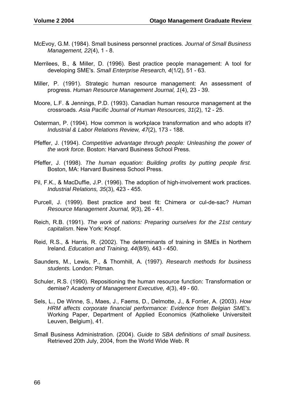- McEvoy, G.M. (1984). Small business personnel practices. *Journal of Small Business Management, 22*(4), 1 - 8.
- Merrilees, B., & Miller, D. (1996). Best practice people management: A tool for developing SME's. *Small Enterprise Research, 4*(1/2), 51 - 63.
- Miller, P. (1991). Strategic human resource management: An assessment of progress. *Human Resource Management Journal, 1*(4), 23 - 39.
- Moore, L.F. & Jennings, P.D. (1993). Canadian human resource management at the crossroads. *Asia Pacific Journal of Human Resources, 31*(2), 12 - 25.
- Osterman, P. (1994). How common is workplace transformation and who adopts it? *Industrial & Labor Relations Review, 47*(2), 173 - 188.
- Pfeffer, J. (1994). *Competitive advantage through people: Unleashing the power of the work force.* Boston: Harvard Business School Press.
- Pfeffer, J. (1998). *The human equation: Building profits by putting people first.* Boston, MA: Harvard Business School Press.
- Pil, F.K., & MacDuffie, J.P. (1996). The adoption of high-involvement work practices. *Industrial Relations, 35*(3), 423 - 455.
- Purcell, J. (1999). Best practice and best fit: Chimera or cul-de-sac? *Human Resource Management Journal, 9*(3), 26 - 41.
- Reich, R.B. (1991). *The work of nations: Preparing ourselves for the 21st century capitalism*. New York: Knopf.
- Reid, R.S., & Harris, R. (2002). The determinants of training in SMEs in Northern Ireland. *Education and Training, 44*(8/9), 443 - 450.
- Saunders, M., Lewis, P., & Thornhill, A. (1997). *Research methods for business students.* London: Pitman.
- Schuler, R.S. (1990). Repositioning the human resource function: Transformation or demise? *Academy of Management Executive, 4*(3), 49 - 60.
- Sels, L., De Winne, S., Maes, J., Faems, D., Delmotte, J., & Forrier, A. (2003). *How HRM affects corporate financial performance: Evidence from Belgian SME's.* Working Paper, Department of Applied Economics (Katholieke Universiteit Leuven, Belgium), 41.
- Small Business Administration. (2004). *Guide to SBA definitions of small business.*  Retrieved 20th July, 2004, from the World Wide Web. R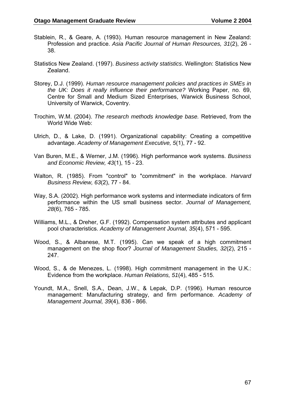- Stablein, R., & Geare, A. (1993). Human resource management in New Zealand: Profession and practice. *Asia Pacific Journal of Human Resources, 31*(2), 26 - 38.
- Statistics New Zealand. (1997). *Business activity statistics*. Wellington: Statistics New Zealand.
- Storey, D.J. (1999). *Human resource management policies and practices in SMEs in the UK: Does it really influence their performance?* Working Paper, no. 69, Centre for Small and Medium Sized Enterprises, Warwick Business School, University of Warwick, Coventry.
- Trochim, W.M. (2004). *The research methods knowledge base.* Retrieved, from the World Wide Web:
- Ulrich, D., & Lake, D. (1991). Organizational capability: Creating a competitive advantage. *Academy of Management Executive, 5*(1), 77 - 92.
- Van Buren, M.E., & Werner, J.M. (1996). High performance work systems. *Business and Economic Review, 43*(1), 15 - 23.
- Walton, R. (1985). From "control" to "commitment" in the workplace. *Harvard Business Review, 63*(2), 77 - 84.
- Way, S.A. (2002). High performance work systems and intermediate indicators of firm performance within the US small business sector. *Journal of Management, 28*(6), 765 - 785.
- Williams, M.L., & Dreher, G.F. (1992). Compensation system attributes and applicant pool characteristics. *Academy of Management Journal, 35*(4), 571 - 595.
- Wood, S., & Albanese, M.T. (1995). Can we speak of a high commitment management on the shop floor? *Journal of Management Studies, 32*(2), 215 - 247.
- Wood, S., & de Menezes, L. (1998). High commitment management in the U.K.: Evidence from the workplace. *Human Relations, 51*(4), 485 - 515.
- Youndt, M.A., Snell, S.A., Dean, J.W., & Lepak, D.P. (1996). Human resource management: Manufacturing strategy, and firm performance. *Academy of Management Journal, 39*(4), 836 - 866.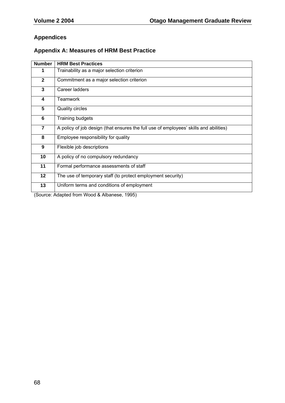## **Appendices**

## **Appendix A: Measures of HRM Best Practice**

| <b>Number</b>  | <b>HRM Best Practices</b>                                                             |
|----------------|---------------------------------------------------------------------------------------|
|                | Trainability as a major selection criterion                                           |
| $\mathbf{2}$   | Commitment as a major selection criterion                                             |
| 3              | Career ladders                                                                        |
| 4              | Teamwork                                                                              |
| 5              | <b>Quality circles</b>                                                                |
| 6              | Training budgets                                                                      |
| $\overline{7}$ | A policy of job design (that ensures the full use of employees' skills and abilities) |
| 8              | Employee responsibility for quality                                                   |
| 9              | Flexible job descriptions                                                             |
| 10             | A policy of no compulsory redundancy                                                  |
| 11             | Formal performance assessments of staff                                               |
| 12             | The use of temporary staff (to protect employment security)                           |
| 13             | Uniform terms and conditions of employment                                            |
|                | $\lambda$ $\sim$ $\sim$ $\sim$ $\lambda$                                              |

(Source: Adapted from Wood & Albanese, 1995)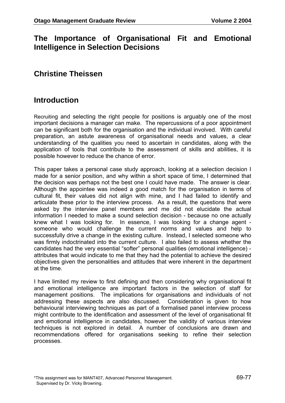## **The Importance of Organisational Fit and Emotional Intelligence in Selection Decisions**

# **Christine Theissen**

## **Introduction**

Recruiting and selecting the right people for positions is arguably one of the most important decisions a manager can make. The repercussions of a poor appointment can be significant both for the organisation and the individual involved. With careful preparation, an astute awareness of organisational needs and values, a clear understanding of the qualities you need to ascertain in candidates, along with the application of tools that contribute to the assessment of skills and abilities, it is possible however to reduce the chance of error.

This paper takes a personal case study approach, looking at a selection decision I made for a senior position, and why within a short space of time, I determined that the decision was perhaps not the best one I could have made. The answer is clear. Although the appointee was indeed a good match for the organisation in terms of cultural fit, their values did not align with mine, and I had failed to identify and articulate these prior to the interview process. As a result, the questions that were asked by the interview panel members and me did not elucidate the actual information I needed to make a sound selection decision - because no one actually knew what I was looking for. In essence, I was looking for a change agent someone who would challenge the current norms and values and help to successfully drive a change in the existing culture. Instead, I selected someone who was firmly indoctrinated into the current culture. I also failed to assess whether the candidates had the very essential "softer" personal qualities (emotional intelligence) attributes that would indicate to me that they had the potential to achieve the desired objectives given the personalities and attitudes that were inherent in the department at the time.

I have limited my review to first defining and then considering why organisational fit and emotional intelligence are important factors in the selection of staff for management positions. The implications for organisations and individuals of not addressing these aspects are also discussed. Consideration is given to how behavioural interviewing techniques as part of a formalised panel interview process might contribute to the identification and assessment of the level of organisational fit and emotional intelligence in candidates, however the validity of various interview techniques is not explored in detail. A number of conclusions are drawn and recommendations offered for organisations seeking to refine their selection processes.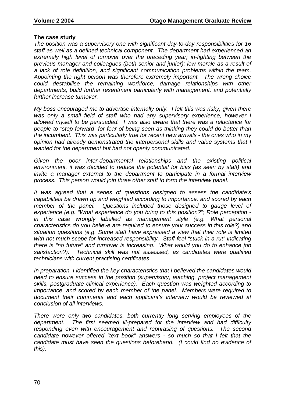#### **The case study**

*The position was a supervisory one with significant day-to-day responsibilities for 16 staff as well as a defined technical component. The department had experienced an*  extremely high level of turnover over the preceding year; in-fighting between the *previous manager and colleagues (both senior and junior); low morale as a result of a lack of role definition, and significant communication problems within the team. Appointing the right person was therefore extremely important. The wrong choice could destabilise the remaining workforce, damage relationships with other departments, build further resentment particularly with management, and potentially further increase turnover.* 

*My boss encouraged me to advertise internally only. I felt this was risky, given there*  was only a small field of staff who had any supervisory experience, however I *allowed myself to be persuaded. I was also aware that there was a reluctance for people to "step forward" for fear of being seen as thinking they could do better than the incumbent. This was particularly true for recent new arrivals - the ones who in my opinion had already demonstrated the interpersonal skills and value systems that I wanted for the department but had not openly communicated.* 

*Given the poor inter-departmental relationships and the existing political environment, it was decided to reduce the potential for bias (as seen by staff) and invite a manager external to the department to participate in a formal interview process. This person would join three other staff to form the interview panel.* 

*It was agreed that a series of questions designed to assess the candidate's capabilities be drawn up and weighted according to importance, and scored by each*  member of the panel. Questions included those designed to gauge level of *experience (e.g. "What experience do you bring to this position?"; Role perception in this case wrongly labelled as management style (e.g. What personal characteristics do you believe are required to ensure your success in this role?) and situation questions (e.g. Some staff have expressed a view that their role is limited with not much scope for increased responsibility. Staff feel "stuck in a rut" indicating there is "no future" and turnover is increasing. What would you do to enhance job satisfaction?). Technical skill was not assessed, as candidates were qualified technicians with current practising certificates.* 

*In preparation, I identified the key characteristics that I believed the candidates would need to ensure success in the position (supervisory, teaching, project management skills, postgraduate clinical experience). Each question was weighted according to importance, and scored by each member of the panel. Members were required to document their comments and each applicant's interview would be reviewed at conclusion of all interviews.* 

*There were only two candidates, both currently long serving employees of the department. The first seemed ill-prepared for the interview and had difficulty responding even with encouragement and rephrasing of questions. The second candidate however offered "text book" answers - so much so that I felt that the candidate must have seen the questions beforehand. (I could find no evidence of this).*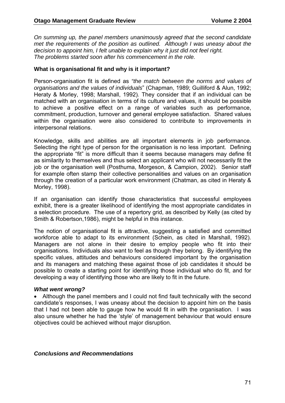*On summing up, the panel members unanimously agreed that the second candidate met the requirements of the position as outlined. Although I was uneasy about the decision to appoint him, I felt unable to explain why it just did not feel right. The problems started soon after his commencement in the role.* 

#### **What is organisational fit and why is it important?**

Person-organisation fit is defined as *"the match between the norms and values of organisations and the values of individuals*" (Chapman, 1989; Guilliford & Alun, 1992; Heraty & Morley, 1998; Marshall, 1992)*.* They consider that if an individual can be matched with an organisation in terms of its culture and values, it should be possible to achieve a positive effect on a range of variables such as performance, commitment, production, turnover and general employee satisfaction. Shared values within the organisation were also considered to contribute to improvements in interpersonal relations.

Knowledge, skills and abilities are all important elements in job performance. Selecting the right type of person for the organisation is no less important. Defining the appropriate "fit" is more difficult than it seems because managers may define fit as similarity to themselves and thus select an applicant who will not necessarily fit the job or the organisation well (Posthuma, Morgeson, & Campion, 2002). Senior staff for example often stamp their collective personalities and values on an organisation through the creation of a particular work environment (Chatman, as cited in Heraty & Morley, 1998).

If an organisation can identify those characteristics that successful employees exhibit, there is a greater likelihood of identifying the most appropriate candidates in a selection procedure. The use of a repertory grid, as described by Kelly (as cited by Smith & Robertson,1986), might be helpful in this instance.

The notion of organisational fit is attractive, suggesting a satisfied and committed workforce able to adapt to its environment (Schein, as cited in Marshall, 1992). Managers are not alone in their desire to employ people who fit into their organisations. Individuals also want to feel as though they belong. By identifying the specific values, attitudes and behaviours considered important by the organisation and its managers and matching these against those of job candidates it should be possible to create a starting point for identifying those individual who do fit, and for developing a way of identifying those who are likely to fit in the future.

#### *What went wrong?*

• Although the panel members and I could not find fault technically with the second candidate's responses, I was uneasy about the decision to appoint him on the basis that I had not been able to gauge how he would fit in with the organisation. I was also unsure whether he had the 'style' of management behaviour that would ensure objectives could be achieved without major disruption.

#### *Conclusions and Recommendations*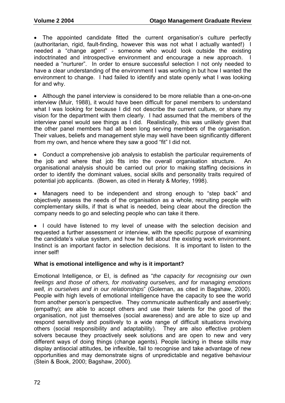The appointed candidate fitted the current organisation's culture perfectly (authoritarian, rigid, fault-finding, however this was not what I actually wanted!) I needed a "change agent" - someone who would look outside the existing indoctrinated and introspective environment and encourage a new approach. I needed a "nurturer". In order to ensure successful selection I not only needed to have a clear understanding of the environment I was working in but how I wanted the environment to change. I had failed to identify and state openly what I was looking for and why.

• Although the panel interview is considered to be more reliable than a one-on-one interview (Muir, 1988), it would have been difficult for panel members to understand what I was looking for because I did not describe the current culture, or share my vision for the department with them clearly. I had assumed that the members of the interview panel would see things as I did. Realistically, this was unlikely given that the other panel members had all been long serving members of the organisation. Their values, beliefs and management style may well have been significantly different from my own, and hence where they saw a good "fit" I did not.

• Conduct a comprehensive job analysis to establish the particular requirements of the job and where that job fits into the overall organisation structure. An organisational analysis should be carried out prior to making staffing decisions in order to identify the dominant values, social skills and personality traits required of potential job applicants. (Bowen, as cited in Heraty & Morley, 1998).

• Managers need to be independent and strong enough to "step back" and objectively assess the needs of the organisation as a whole, recruiting people with complementary skills, if that is what is needed, being clear about the direction the company needs to go and selecting people who can take it there.

• I could have listened to my level of unease with the selection decision and requested a further assessment or interview, with the specific purpose of examining the candidate's value system, and how he felt about the existing work environment. Instinct is an important factor in selection decisions. It is important to listen to the inner self!

### **What is emotional intelligence and why is it important?**

Emotional Intelligence, or EI, is defined as "*the capacity for recognising our own feelings and those of others, for motivating ourselves, and for managing emotions well, in ourselves and in our relationships*" (Goleman, as cited in Bagshaw, 2000). People with high levels of emotional intelligence have the capacity to see the world from another person's perspective. They communicate authentically and assertively; (empathy); are able to accept others and use their talents for the good of the organisation, not just themselves (social awareness) and are able to size up and respond sensitively and positively to a wide range of difficult situations involving others (social responsibility and adaptability). They are also effective problem solvers because they proactively seek solutions and are open to new and very different ways of doing things (change agents). People lacking in these skills may display antisocial attitudes, be inflexible, fail to recognise and take advantage of new opportunities and may demonstrate signs of unpredictable and negative behaviour (Stein & Book, 2000; Bagshaw, 2000).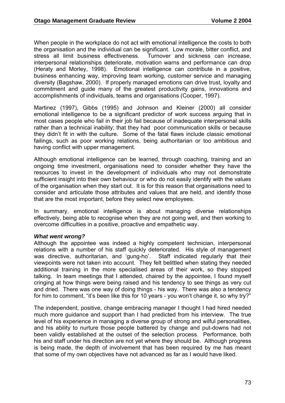When people in the workplace do not act with emotional intelligence the costs to both the organisation and the individual can be significant. Low morale, bitter conflict, and stress all limit business effectiveness. Turnover and sickness can increase, interpersonal relationships deteriorate, motivation warns and performance can drop (Heraty and Morley, 1998). Emotional intelligence can contribute in a positive, business enhancing way, improving team working, customer service and managing diversity (Bagshaw, 2000). If properly managed emotions can drive trust, loyalty and commitment and guide many of the greatest productivity gains, innovations and accomplishments of individuals, teams and organisations (Cooper, 1997).

Martinez (1997), Gibbs (1995) and Johnson and Kleiner (2000) all consider emotional intelligence to be a significant predictor of work success arguing that in most cases people who fail in their job fail because of inadequate interpersonal skills rather than a technical inability; that they had poor communication skills or because they didn't fit in with the culture. Some of the fatal flaws include classic emotional failings, such as poor working relations, being authoritarian or too ambitious and having conflict with upper management.

Although emotional intelligence can be learned, through coaching, training and an ongoing time investment, organisations need to consider whether they have the resources to invest in the development of individuals who may not demonstrate sufficient insight into their own behaviour or who do not easily identify with the values of the organisation when they start out. It is for this reason that organisations need to consider and articulate those attributes and values that are held, and identify those that are the most important, before they select new employees.

In summary, emotional intelligence is about managing diverse relationships effectively, being able to recognise when they are not going well, and then working to overcome difficulties in a positive, proactive and empathetic way.

#### *What went wrong?*

Although the appointee was indeed a highly competent technician, interpersonal relations with a number of his staff quickly deteriorated. His style of management was directive, authoritarian, and 'gung-ho'. Staff indicated regularly that their viewpoints were not taken into account. They felt belittled when stating they needed additional training in the more specialised areas of their work, so they stopped talking. In team meetings that I attended, chaired by the appointee, I found myself cringing at how things were being raised and his tendency to see things as very cut and dried. There was one way of doing things - his way. There was also a tendency for him to comment, "it's been like this for 10 years - you won't change it, so why try?"

The independent, positive, change embracing manager I thought I had hired needed much more guidance and support than I had predicted from his interview. The true level of his experience in managing a diverse group of strong and wilful personalities, and his ability to nurture those people battered by change and put-downs had not been validly established at the outset of the selection process. Performance, both his and staff under his direction are not yet where they should be. Although progress is being made, the depth of involvement that has been required by me has meant that some of my own objectives have not advanced as far as I would have liked.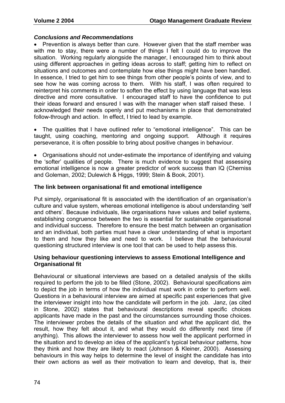#### *Conclusions and Recommendations*

• Prevention is always better than cure. However given that the staff member was with me to stay, there were a number of things I felt I could do to improve the situation. Working regularly alongside the manager, I encouraged him to think about using different approaches in getting ideas across to staff; getting him to reflect on situations and outcomes and contemplate how else things might have been handled. In essence, I tried to get him to see things from other people's points of view, and to see how he was coming across to them. With his staff, I was often required to reinterpret his comments in order to soften the effect by using language that was less directive and more consultative. I encouraged staff to have the confidence to put their ideas forward and ensured I was with the manager when staff raised these. I acknowledged their needs openly and put mechanisms in place that demonstrated follow-through and action. In effect, I tried to lead by example.

The qualities that I have outlined refer to "emotional intelligence". This can be taught, using coaching, mentoring and ongoing support. Although it requires perseverance, it is often possible to bring about positive changes in behaviour.

• Organisations should not under-estimate the importance of identifying and valuing the 'softer' qualities of people. There is much evidence to suggest that assessing emotional intelligence is now a greater predictor of work success than IQ (Cherniss and Goleman, 2002; Dulewich & Higgs, 1999; Stein & Book, 2001).

#### **The link between organisational fit and emotional intelligence**

Put simply, organisational fit is associated with the identification of an organisation's culture and value system, whereas emotional intelligence is about understanding 'self and others'. Because individuals, like organisations have values and belief systems, establishing congruence between the two is essential for sustainable organisational and individual success. Therefore to ensure the best match between an organisation and an individual, both parties must have a clear understanding of what is important to them and how they like and need to work. I believe that the behavioural questioning structured interview is one tool that can be used to help assess this.

#### **Using behaviour questioning interviews to assess Emotional Intelligence and Organisational fit**

Behavioural or situational interviews are based on a detailed analysis of the skills required to perform the job to be filled (Stone, 2002). Behavioural specifications aim to depict the job in terms of how the individual must work in order to perform well. Questions in a behavioural interview are aimed at specific past experiences that give the interviewer insight into how the candidate will perform in the job. Janz, (as cited in Stone, 2002) states that behavioural descriptions reveal specific choices applicants have made in the past and the circumstances surrounding those choices. The interviewer probes the details of the situation and what the applicant did, the result, how they felt about it, and what they would do differently next time (if anything). This allows the interviewer to assess how well the applicant performed in the situation and to develop an idea of the applicant's typical behaviour patterns, how they think and how they are likely to react (Johnson & Kleiner, 2000). Assessing behaviours in this way helps to determine the level of insight the candidate has into their own actions as well as their motivation to learn and develop, that is, their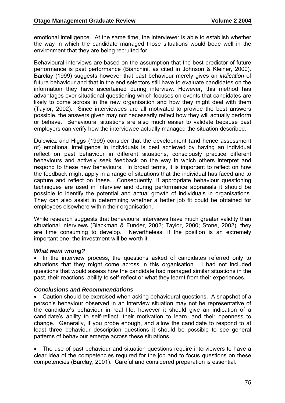emotional intelligence. At the same time, the interviewer is able to establish whether the way in which the candidate managed those situations would bode well in the environment that they are being recruited for.

Behavioural interviews are based on the assumption that the best predictor of future performance is past performance (Bianchini, as cited in Johnson & Kleiner, 2000). Barclay (1999) suggests however that past behaviour merely gives an *indication* of future behaviour and that in the end selectors still have to evaluate candidates on the information they have ascertained during interview. However, this method has advantages over situational questioning which focuses on events that candidates are likely to come across in the new organisation and how they might deal with them (Taylor, 2002). Since interviewees are all motivated to provide the best answers possible, the answers given may not necessarily reflect how they will actually perform or behave. Behavioural situations are also much easier to validate because past employers can verify how the interviewee actually managed the situation described.

Dulewicz and Higgs (1999) consider that the development (and hence assessment of) emotional intelligence in individuals is best achieved by having an individual reflect on past behaviour in different situations, consciously practice different behaviours and actively seek feedback on the way in which others interpret and respond to these new behaviours. In broad terms, it is important to reflect on how the feedback might apply in a range of situations that the individual has faced and to capture and reflect on these. Consequently, if appropriate behaviour questioning techniques are used in interview and during performance appraisals it should be possible to identify the potential and actual growth of individuals in organisations. They can also assist in determining whether a better job fit could be obtained for employees elsewhere within their organisation.

While research suggests that behavioural interviews have much greater validity than situational interviews (Blackman & Funder, 2002; Taylor, 2000; Stone, 2002), they are time consuming to develop. Nevertheless, if the position is an extremely important one, the investment will be worth it.

#### *What went wrong?*

• In the interview process, the questions asked of candidates referred only to situations that they might come across in this organisation. I had not included questions that would assess how the candidate had managed similar situations in the past, their reactions, ability to self-reflect or what they learnt from their experiences.

#### *Conclusions and Recommendations*

• Caution should be exercised when asking behavioural questions. A snapshot of a person's behaviour observed in an interview situation may not be representative of the candidate's behaviour in real life, however it should give an indication of a candidate's ability to self-reflect, their motivation to learn, and their openness to change. Generally, if you probe enough, and allow the candidate to respond to at least three behaviour description questions it should be possible to see general patterns of behaviour emerge across these situations.

• The use of past behaviour and situation questions require interviewers to have a clear idea of the competencies required for the job and to focus questions on these competencies (Barclay, 2001). Careful and considered preparation is essential.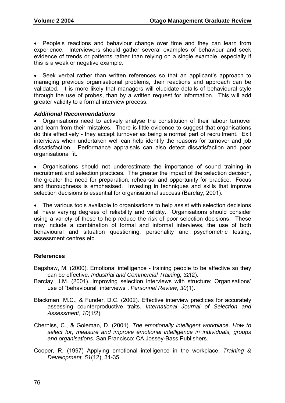• People's reactions and behaviour change over time and they can learn from experience. Interviewers should gather several examples of behaviour and seek evidence of trends or patterns rather than relying on a single example, especially if this is a weak or negative example.

Seek verbal rather than written references so that an applicant's approach to managing previous organisational problems, their reactions and approach can be validated. It is more likely that managers will elucidate details of behavioural style through the use of probes, than by a written request for information. This will add greater validity to a formal interview process.

#### *Additional Recommendations*

• Organisations need to actively analyse the constitution of their labour turnover and learn from their mistakes. There is little evidence to suggest that organisations do this effectively - they accept turnover as being a normal part of recruitment. Exit interviews when undertaken well can help identify the reasons for turnover and job dissatisfaction. Performance appraisals can also detect dissatisfaction and poor organisational fit.

• Organisations should not underestimate the importance of sound training in recruitment and selection practices. The greater the impact of the selection decision, the greater the need for preparation, rehearsal and opportunity for practice. Focus and thoroughness is emphasised. Investing in techniques and skills that improve selection decisions is essential for organisational success (Barclay, 2001).

• The various tools available to organisations to help assist with selection decisions all have varying degrees of reliability and validity. Organisations should consider using a variety of these to help reduce the risk of poor selection decisions. These may include a combination of formal and informal interviews, the use of both behavioural and situation questioning, personality and psychometric testing, assessment centres etc.

### **References**

- Bagshaw, M. (2000). Emotional intelligence training people to be affective so they can be effective. *Industrial and Commercial Training, 32*(2).
- Barclay, J.M. (2001). Improving selection interviews with structure: Organisations' use of "behavioural" interviews". *Personnel Review*, *30*(1).
- Blackman, M.C., & Funder, D.C. (2002). Effective interview practices for accurately assessing counterproductive traits. *International Journal of Selection and Assessment*, *10*(1/2).
- Cherniss, C., & Goleman, D. (2001). *The emotionally intelligent workplace. How to select for, measure and improve emotional intelligence in individuals, groups and organisations*. San Francisco: CA Jossey-Bass Publishers.
- Cooper, R. (1997) Applying emotional intelligence in the workplace. *Training & Development, 51*(12), 31-35.